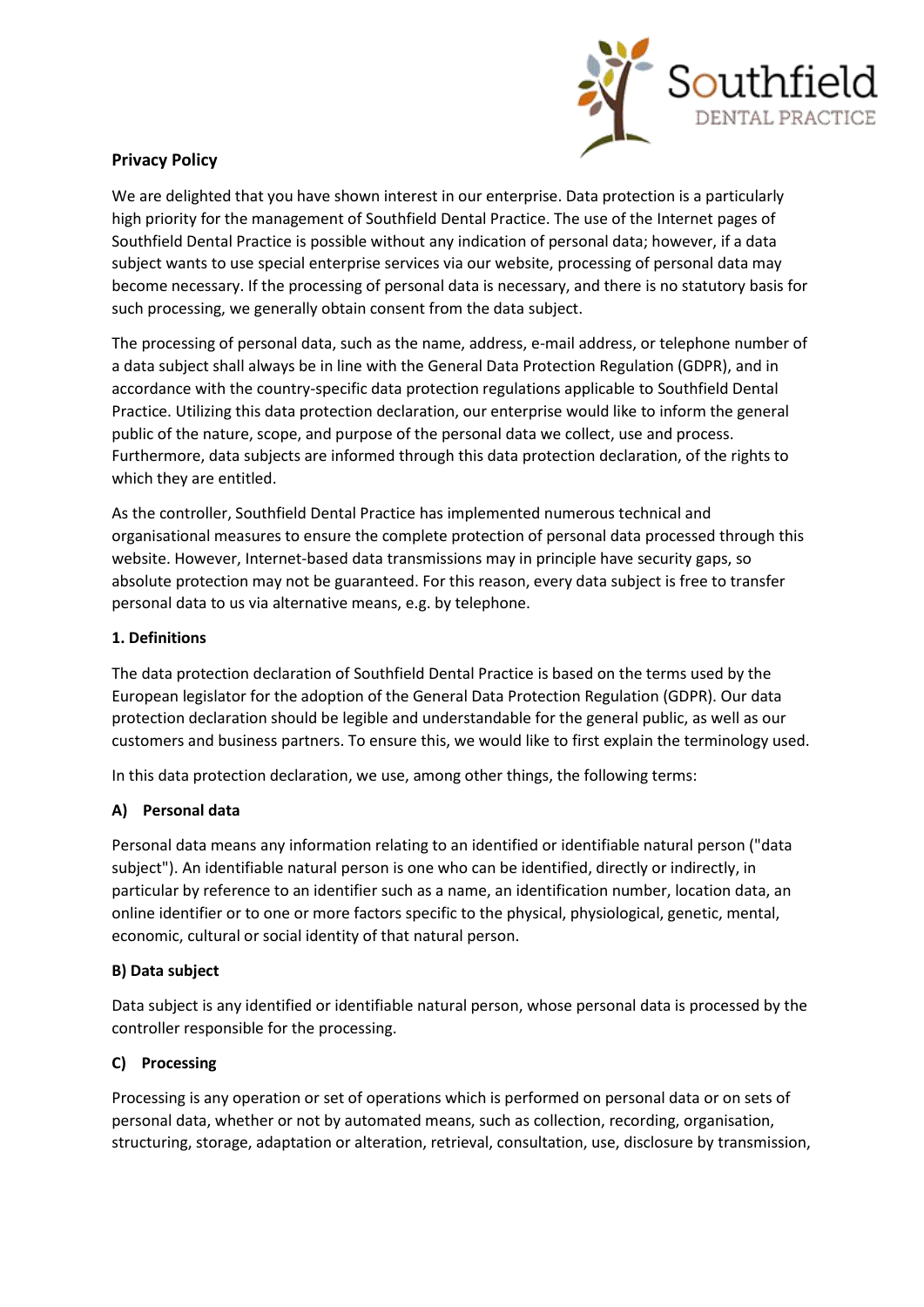

# **Privacy Policy**

We are delighted that you have shown interest in our enterprise. Data protection is a particularly high priority for the management of Southfield Dental Practice. The use of the Internet pages of Southfield Dental Practice is possible without any indication of personal data; however, if a data subject wants to use special enterprise services via our website, processing of personal data may become necessary. If the processing of personal data is necessary, and there is no statutory basis for such processing, we generally obtain consent from the data subject.

The processing of personal data, such as the name, address, e-mail address, or telephone number of a data subject shall always be in line with the General Data Protection Regulation (GDPR), and in accordance with the country-specific data protection regulations applicable to Southfield Dental Practice. Utilizing this data protection declaration, our enterprise would like to inform the general public of the nature, scope, and purpose of the personal data we collect, use and process. Furthermore, data subjects are informed through this data protection declaration, of the rights to which they are entitled.

As the controller, Southfield Dental Practice has implemented numerous technical and organisational measures to ensure the complete protection of personal data processed through this website. However, Internet-based data transmissions may in principle have security gaps, so absolute protection may not be guaranteed. For this reason, every data subject is free to transfer personal data to us via alternative means, e.g. by telephone.

### **1. Definitions**

The data protection declaration of Southfield Dental Practice is based on the terms used by the European legislator for the adoption of the General Data Protection Regulation (GDPR). Our data protection declaration should be legible and understandable for the general public, as well as our customers and business partners. To ensure this, we would like to first explain the terminology used.

In this data protection declaration, we use, among other things, the following terms:

# **A) Personal data**

Personal data means any information relating to an identified or identifiable natural person ("data subject"). An identifiable natural person is one who can be identified, directly or indirectly, in particular by reference to an identifier such as a name, an identification number, location data, an online identifier or to one or more factors specific to the physical, physiological, genetic, mental, economic, cultural or social identity of that natural person.

# **B) Data subject**

Data subject is any identified or identifiable natural person, whose personal data is processed by the controller responsible for the processing.

# **C) Processing**

Processing is any operation or set of operations which is performed on personal data or on sets of personal data, whether or not by automated means, such as collection, recording, organisation, structuring, storage, adaptation or alteration, retrieval, consultation, use, disclosure by transmission,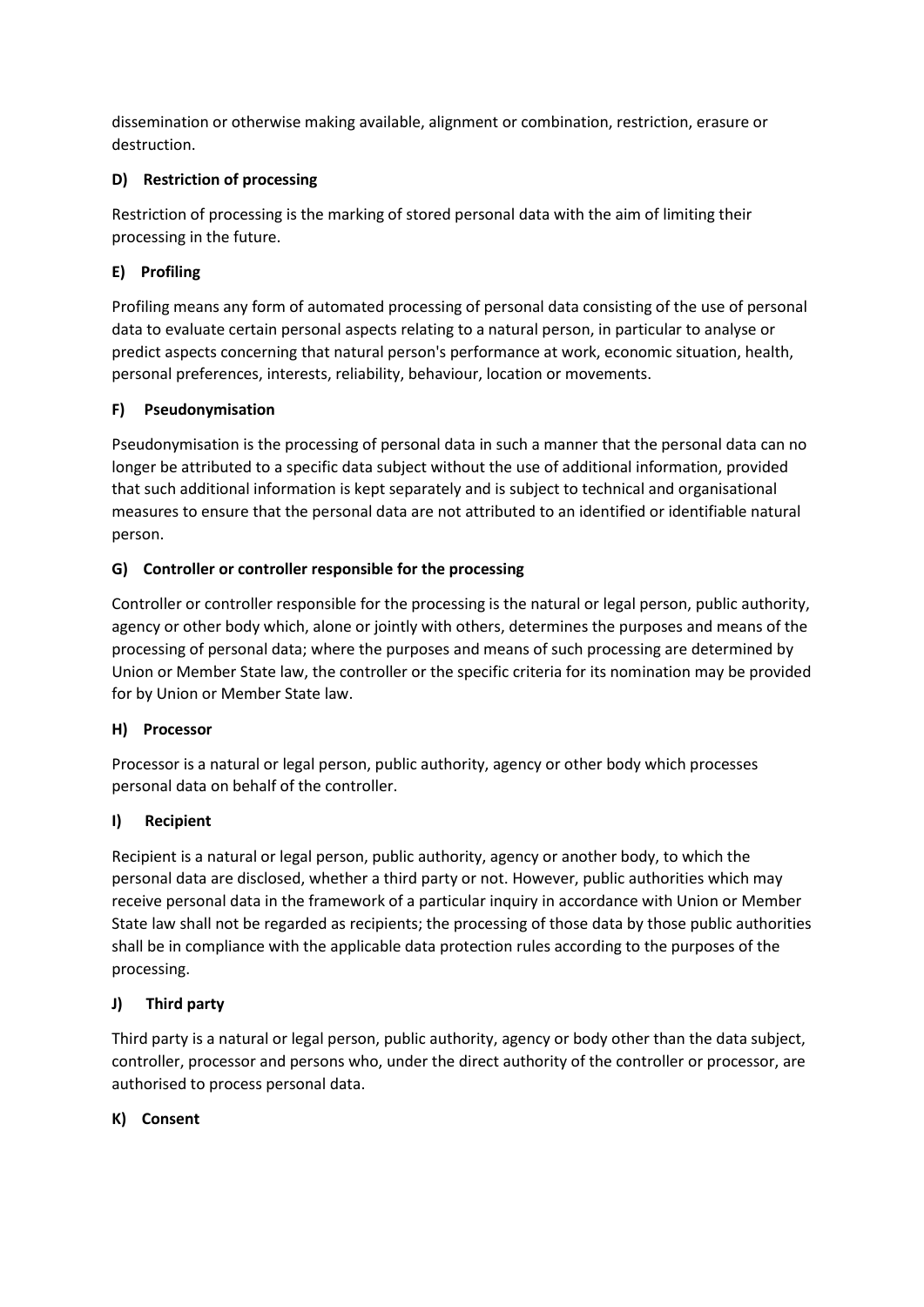dissemination or otherwise making available, alignment or combination, restriction, erasure or destruction.

# **D) Restriction of processing**

Restriction of processing is the marking of stored personal data with the aim of limiting their processing in the future.

# **E) Profiling**

Profiling means any form of automated processing of personal data consisting of the use of personal data to evaluate certain personal aspects relating to a natural person, in particular to analyse or predict aspects concerning that natural person's performance at work, economic situation, health, personal preferences, interests, reliability, behaviour, location or movements.

# **F) Pseudonymisation**

Pseudonymisation is the processing of personal data in such a manner that the personal data can no longer be attributed to a specific data subject without the use of additional information, provided that such additional information is kept separately and is subject to technical and organisational measures to ensure that the personal data are not attributed to an identified or identifiable natural person.

# **G) Controller or controller responsible for the processing**

Controller or controller responsible for the processing is the natural or legal person, public authority, agency or other body which, alone or jointly with others, determines the purposes and means of the processing of personal data; where the purposes and means of such processing are determined by Union or Member State law, the controller or the specific criteria for its nomination may be provided for by Union or Member State law.

# **H) Processor**

Processor is a natural or legal person, public authority, agency or other body which processes personal data on behalf of the controller.

# **I) Recipient**

Recipient is a natural or legal person, public authority, agency or another body, to which the personal data are disclosed, whether a third party or not. However, public authorities which may receive personal data in the framework of a particular inquiry in accordance with Union or Member State law shall not be regarded as recipients; the processing of those data by those public authorities shall be in compliance with the applicable data protection rules according to the purposes of the processing.

# **J) Third party**

Third party is a natural or legal person, public authority, agency or body other than the data subject, controller, processor and persons who, under the direct authority of the controller or processor, are authorised to process personal data.

# **K) Consent**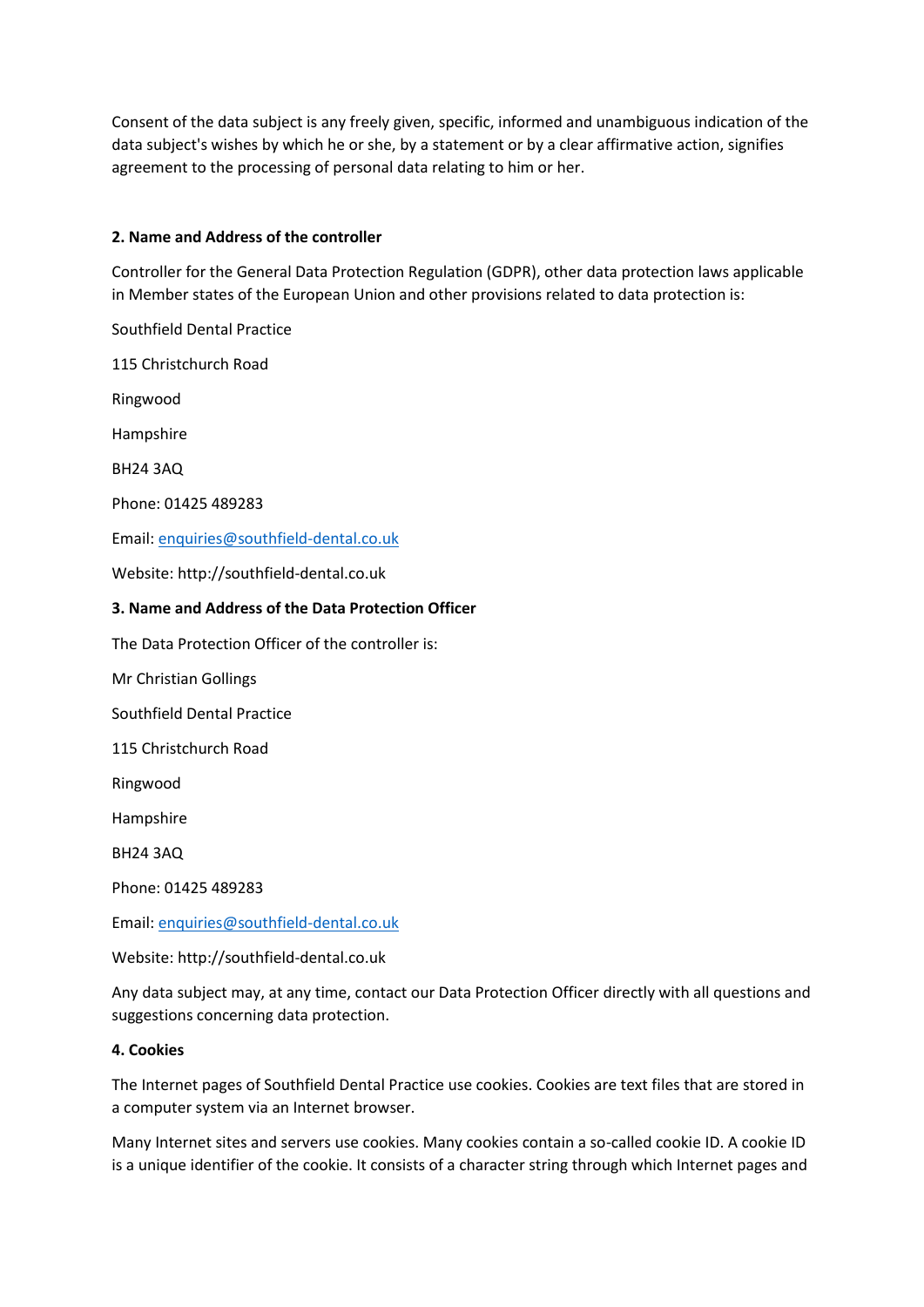Consent of the data subject is any freely given, specific, informed and unambiguous indication of the data subject's wishes by which he or she, by a statement or by a clear affirmative action, signifies agreement to the processing of personal data relating to him or her.

#### **2. Name and Address of the controller**

Controller for the General Data Protection Regulation (GDPR), other data protection laws applicable in Member states of the European Union and other provisions related to data protection is:

Southfield Dental Practice

115 Christchurch Road

Ringwood

Hampshire

BH24 3AQ

Phone: 01425 489283

Email: [enquiries@southfield-dental.co.uk](mailto:enquiries@southfield-dental.co.uk)

Website: http://southfield-dental.co.uk

### **3. Name and Address of the Data Protection Officer**

The Data Protection Officer of the controller is:

Mr Christian Gollings

Southfield Dental Practice

115 Christchurch Road

Ringwood

Hampshire

BH24 3AQ

Phone: 01425 489283

Email: [enquiries@southfield-dental.co.uk](mailto:enquiries@southfield-dental.co.uk)

Website: http://southfield-dental.co.uk

Any data subject may, at any time, contact our Data Protection Officer directly with all questions and suggestions concerning data protection.

#### **4. Cookies**

The Internet pages of Southfield Dental Practice use cookies. Cookies are text files that are stored in a computer system via an Internet browser.

Many Internet sites and servers use cookies. Many cookies contain a so-called cookie ID. A cookie ID is a unique identifier of the cookie. It consists of a character string through which Internet pages and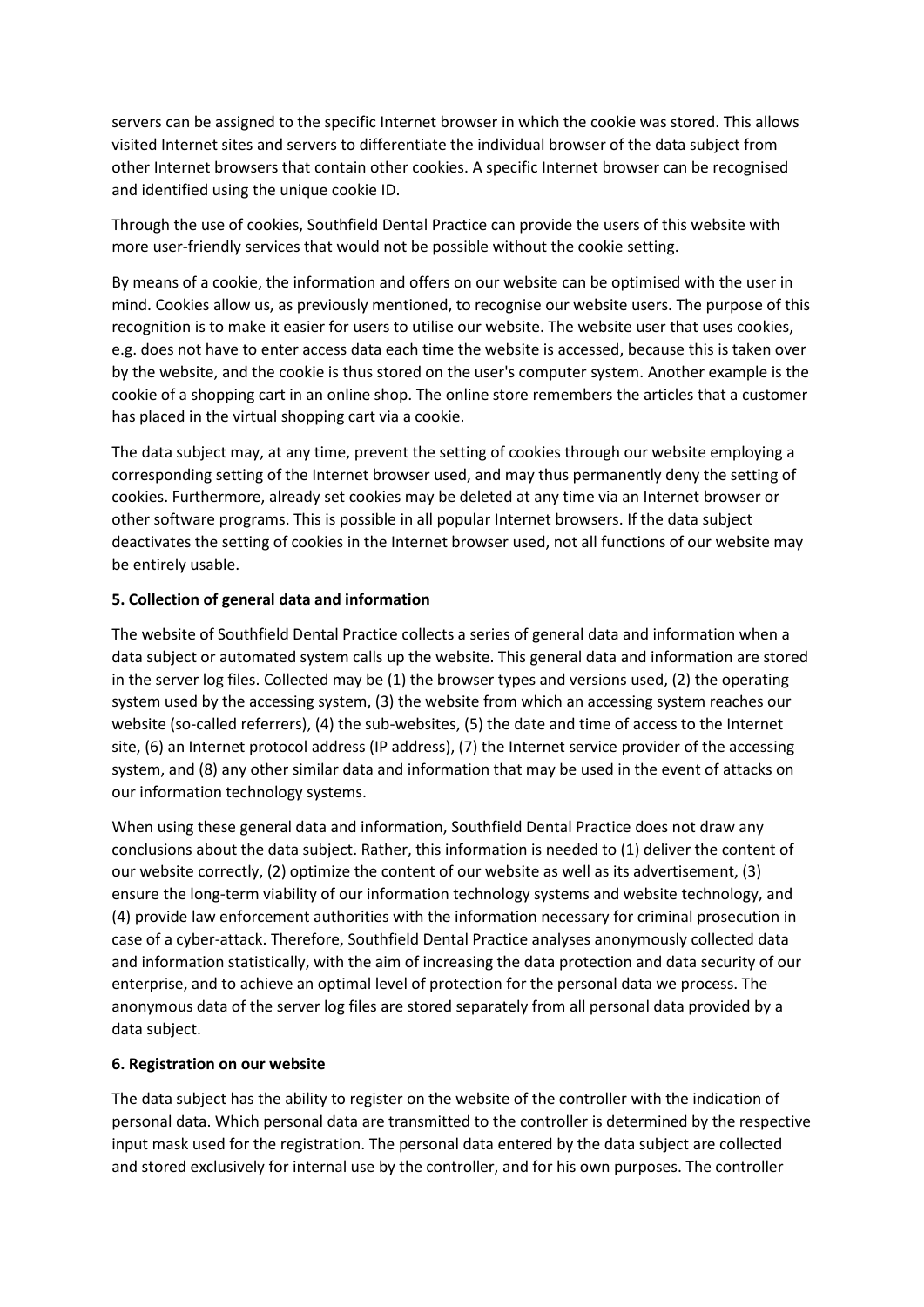servers can be assigned to the specific Internet browser in which the cookie was stored. This allows visited Internet sites and servers to differentiate the individual browser of the data subject from other Internet browsers that contain other cookies. A specific Internet browser can be recognised and identified using the unique cookie ID.

Through the use of cookies, Southfield Dental Practice can provide the users of this website with more user-friendly services that would not be possible without the cookie setting.

By means of a cookie, the information and offers on our website can be optimised with the user in mind. Cookies allow us, as previously mentioned, to recognise our website users. The purpose of this recognition is to make it easier for users to utilise our website. The website user that uses cookies, e.g. does not have to enter access data each time the website is accessed, because this is taken over by the website, and the cookie is thus stored on the user's computer system. Another example is the cookie of a shopping cart in an online shop. The online store remembers the articles that a customer has placed in the virtual shopping cart via a cookie.

The data subject may, at any time, prevent the setting of cookies through our website employing a corresponding setting of the Internet browser used, and may thus permanently deny the setting of cookies. Furthermore, already set cookies may be deleted at any time via an Internet browser or other software programs. This is possible in all popular Internet browsers. If the data subject deactivates the setting of cookies in the Internet browser used, not all functions of our website may be entirely usable.

### **5. Collection of general data and information**

The website of Southfield Dental Practice collects a series of general data and information when a data subject or automated system calls up the website. This general data and information are stored in the server log files. Collected may be (1) the browser types and versions used, (2) the operating system used by the accessing system, (3) the website from which an accessing system reaches our website (so-called referrers), (4) the sub-websites, (5) the date and time of access to the Internet site, (6) an Internet protocol address (IP address), (7) the Internet service provider of the accessing system, and (8) any other similar data and information that may be used in the event of attacks on our information technology systems.

When using these general data and information, Southfield Dental Practice does not draw any conclusions about the data subject. Rather, this information is needed to (1) deliver the content of our website correctly, (2) optimize the content of our website as well as its advertisement, (3) ensure the long-term viability of our information technology systems and website technology, and (4) provide law enforcement authorities with the information necessary for criminal prosecution in case of a cyber-attack. Therefore, Southfield Dental Practice analyses anonymously collected data and information statistically, with the aim of increasing the data protection and data security of our enterprise, and to achieve an optimal level of protection for the personal data we process. The anonymous data of the server log files are stored separately from all personal data provided by a data subject.

#### **6. Registration on our website**

The data subject has the ability to register on the website of the controller with the indication of personal data. Which personal data are transmitted to the controller is determined by the respective input mask used for the registration. The personal data entered by the data subject are collected and stored exclusively for internal use by the controller, and for his own purposes. The controller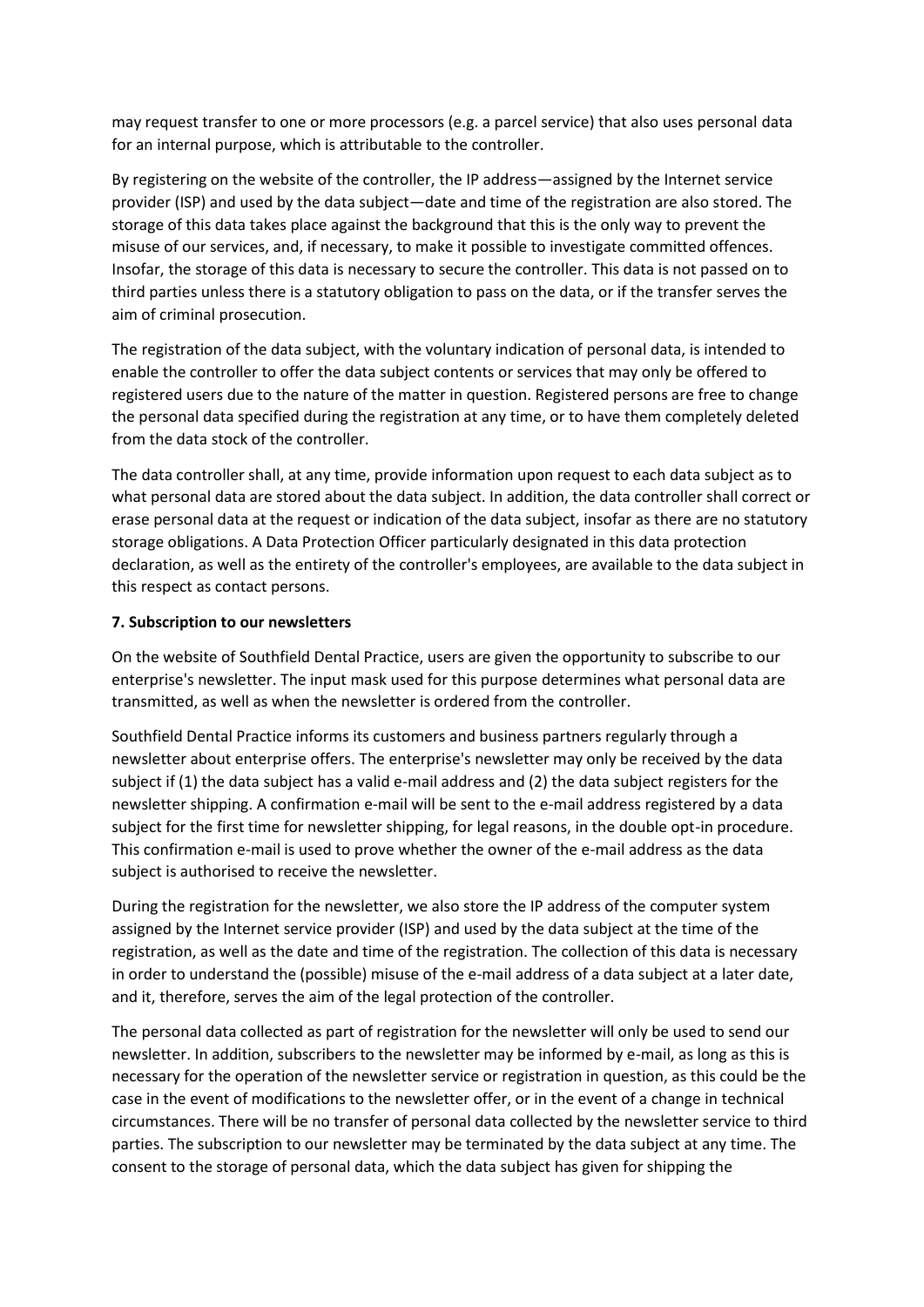may request transfer to one or more processors (e.g. a parcel service) that also uses personal data for an internal purpose, which is attributable to the controller.

By registering on the website of the controller, the IP address—assigned by the Internet service provider (ISP) and used by the data subject—date and time of the registration are also stored. The storage of this data takes place against the background that this is the only way to prevent the misuse of our services, and, if necessary, to make it possible to investigate committed offences. Insofar, the storage of this data is necessary to secure the controller. This data is not passed on to third parties unless there is a statutory obligation to pass on the data, or if the transfer serves the aim of criminal prosecution.

The registration of the data subject, with the voluntary indication of personal data, is intended to enable the controller to offer the data subject contents or services that may only be offered to registered users due to the nature of the matter in question. Registered persons are free to change the personal data specified during the registration at any time, or to have them completely deleted from the data stock of the controller.

The data controller shall, at any time, provide information upon request to each data subject as to what personal data are stored about the data subject. In addition, the data controller shall correct or erase personal data at the request or indication of the data subject, insofar as there are no statutory storage obligations. A Data Protection Officer particularly designated in this data protection declaration, as well as the entirety of the controller's employees, are available to the data subject in this respect as contact persons.

### **7. Subscription to our newsletters**

On the website of Southfield Dental Practice, users are given the opportunity to subscribe to our enterprise's newsletter. The input mask used for this purpose determines what personal data are transmitted, as well as when the newsletter is ordered from the controller.

Southfield Dental Practice informs its customers and business partners regularly through a newsletter about enterprise offers. The enterprise's newsletter may only be received by the data subject if (1) the data subject has a valid e-mail address and (2) the data subject registers for the newsletter shipping. A confirmation e-mail will be sent to the e-mail address registered by a data subject for the first time for newsletter shipping, for legal reasons, in the double opt-in procedure. This confirmation e-mail is used to prove whether the owner of the e-mail address as the data subject is authorised to receive the newsletter.

During the registration for the newsletter, we also store the IP address of the computer system assigned by the Internet service provider (ISP) and used by the data subject at the time of the registration, as well as the date and time of the registration. The collection of this data is necessary in order to understand the (possible) misuse of the e-mail address of a data subject at a later date, and it, therefore, serves the aim of the legal protection of the controller.

The personal data collected as part of registration for the newsletter will only be used to send our newsletter. In addition, subscribers to the newsletter may be informed by e-mail, as long as this is necessary for the operation of the newsletter service or registration in question, as this could be the case in the event of modifications to the newsletter offer, or in the event of a change in technical circumstances. There will be no transfer of personal data collected by the newsletter service to third parties. The subscription to our newsletter may be terminated by the data subject at any time. The consent to the storage of personal data, which the data subject has given for shipping the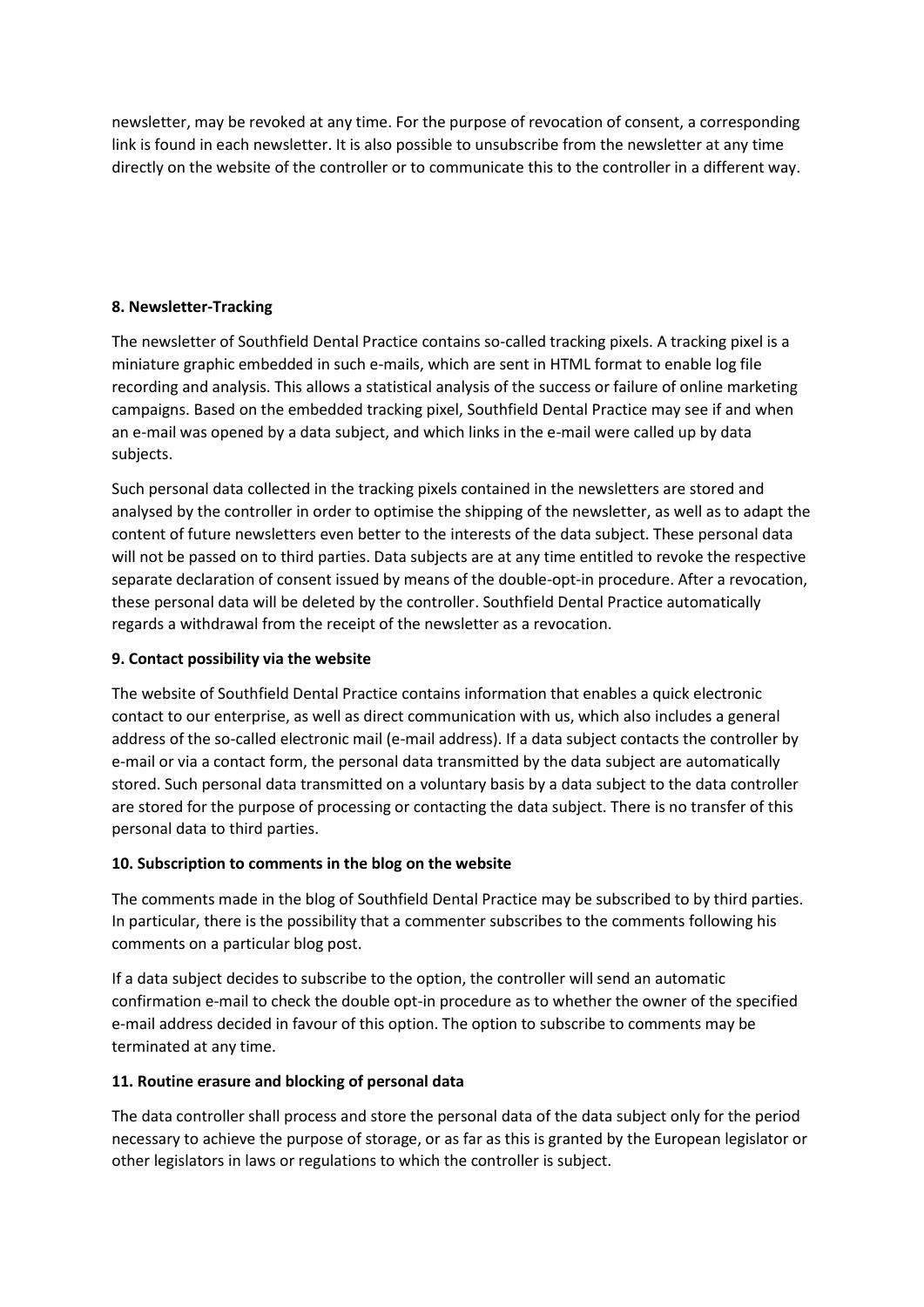newsletter, may be revoked at any time. For the purpose of revocation of consent, a corresponding link is found in each newsletter. It is also possible to unsubscribe from the newsletter at any time directly on the website of the controller or to communicate this to the controller in a different way.

# **8. Newsletter-Tracking**

The newsletter of Southfield Dental Practice contains so-called tracking pixels. A tracking pixel is a miniature graphic embedded in such e-mails, which are sent in HTML format to enable log file recording and analysis. This allows a statistical analysis of the success or failure of online marketing campaigns. Based on the embedded tracking pixel, Southfield Dental Practice may see if and when an e-mail was opened by a data subject, and which links in the e-mail were called up by data subjects.

Such personal data collected in the tracking pixels contained in the newsletters are stored and analysed by the controller in order to optimise the shipping of the newsletter, as well as to adapt the content of future newsletters even better to the interests of the data subject. These personal data will not be passed on to third parties. Data subjects are at any time entitled to revoke the respective separate declaration of consent issued by means of the double-opt-in procedure. After a revocation, these personal data will be deleted by the controller. Southfield Dental Practice automatically regards a withdrawal from the receipt of the newsletter as a revocation.

# **9. Contact possibility via the website**

The website of Southfield Dental Practice contains information that enables a quick electronic contact to our enterprise, as well as direct communication with us, which also includes a general address of the so-called electronic mail (e-mail address). If a data subject contacts the controller by e-mail or via a contact form, the personal data transmitted by the data subject are automatically stored. Such personal data transmitted on a voluntary basis by a data subject to the data controller are stored for the purpose of processing or contacting the data subject. There is no transfer of this personal data to third parties.

# **10. Subscription to comments in the blog on the website**

The comments made in the blog of Southfield Dental Practice may be subscribed to by third parties. In particular, there is the possibility that a commenter subscribes to the comments following his comments on a particular blog post.

If a data subject decides to subscribe to the option, the controller will send an automatic confirmation e-mail to check the double opt-in procedure as to whether the owner of the specified e-mail address decided in favour of this option. The option to subscribe to comments may be terminated at any time.

# **11. Routine erasure and blocking of personal data**

The data controller shall process and store the personal data of the data subject only for the period necessary to achieve the purpose of storage, or as far as this is granted by the European legislator or other legislators in laws or regulations to which the controller is subject.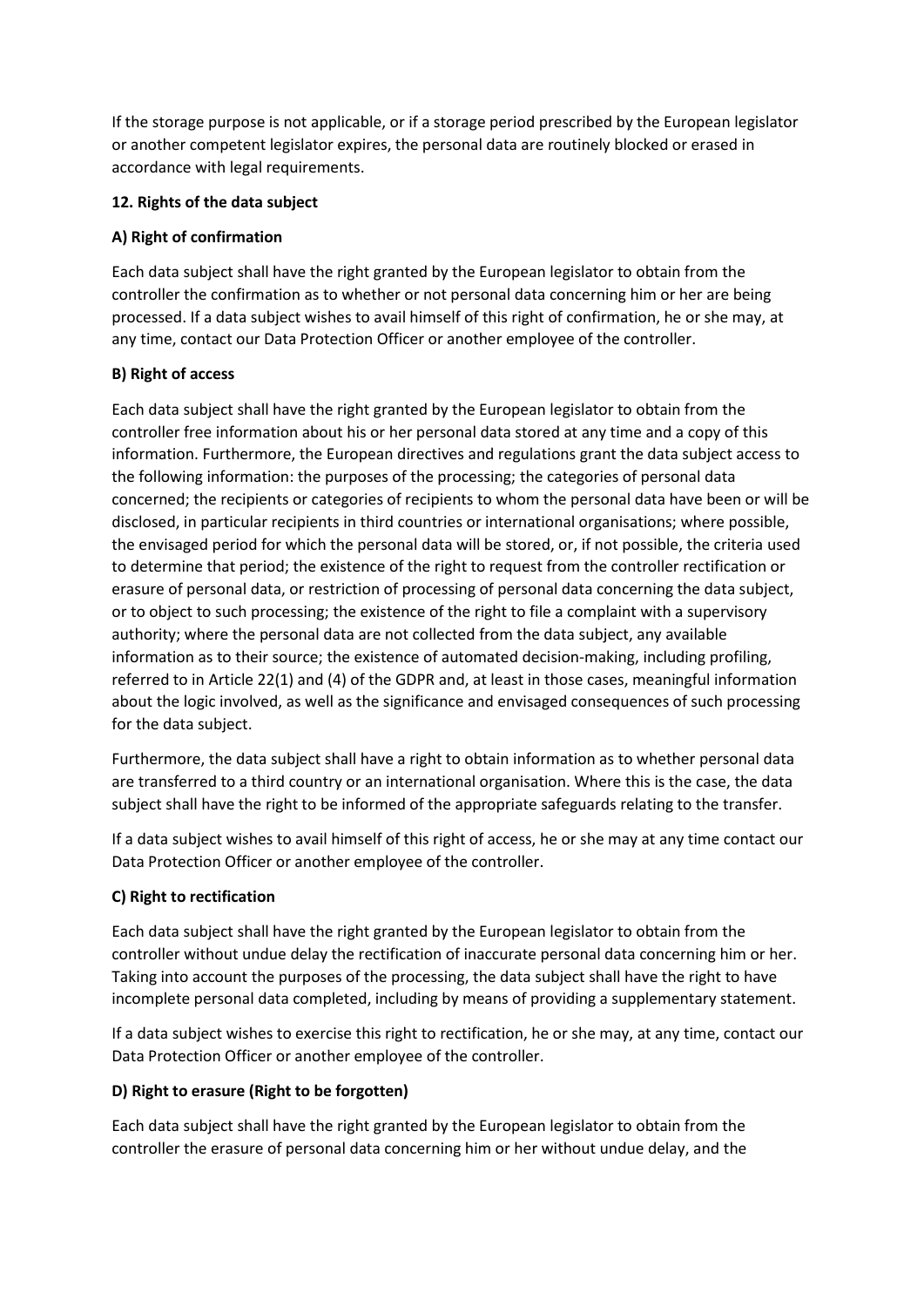If the storage purpose is not applicable, or if a storage period prescribed by the European legislator or another competent legislator expires, the personal data are routinely blocked or erased in accordance with legal requirements.

# **12. Rights of the data subject**

# **A) Right of confirmation**

Each data subject shall have the right granted by the European legislator to obtain from the controller the confirmation as to whether or not personal data concerning him or her are being processed. If a data subject wishes to avail himself of this right of confirmation, he or she may, at any time, contact our Data Protection Officer or another employee of the controller.

# **B) Right of access**

Each data subject shall have the right granted by the European legislator to obtain from the controller free information about his or her personal data stored at any time and a copy of this information. Furthermore, the European directives and regulations grant the data subject access to the following information: the purposes of the processing; the categories of personal data concerned; the recipients or categories of recipients to whom the personal data have been or will be disclosed, in particular recipients in third countries or international organisations; where possible, the envisaged period for which the personal data will be stored, or, if not possible, the criteria used to determine that period; the existence of the right to request from the controller rectification or erasure of personal data, or restriction of processing of personal data concerning the data subject, or to object to such processing; the existence of the right to file a complaint with a supervisory authority; where the personal data are not collected from the data subject, any available information as to their source; the existence of automated decision-making, including profiling, referred to in Article 22(1) and (4) of the GDPR and, at least in those cases, meaningful information about the logic involved, as well as the significance and envisaged consequences of such processing for the data subject.

Furthermore, the data subject shall have a right to obtain information as to whether personal data are transferred to a third country or an international organisation. Where this is the case, the data subject shall have the right to be informed of the appropriate safeguards relating to the transfer.

If a data subject wishes to avail himself of this right of access, he or she may at any time contact our Data Protection Officer or another employee of the controller.

# **C) Right to rectification**

Each data subject shall have the right granted by the European legislator to obtain from the controller without undue delay the rectification of inaccurate personal data concerning him or her. Taking into account the purposes of the processing, the data subject shall have the right to have incomplete personal data completed, including by means of providing a supplementary statement.

If a data subject wishes to exercise this right to rectification, he or she may, at any time, contact our Data Protection Officer or another employee of the controller.

# **D) Right to erasure (Right to be forgotten)**

Each data subject shall have the right granted by the European legislator to obtain from the controller the erasure of personal data concerning him or her without undue delay, and the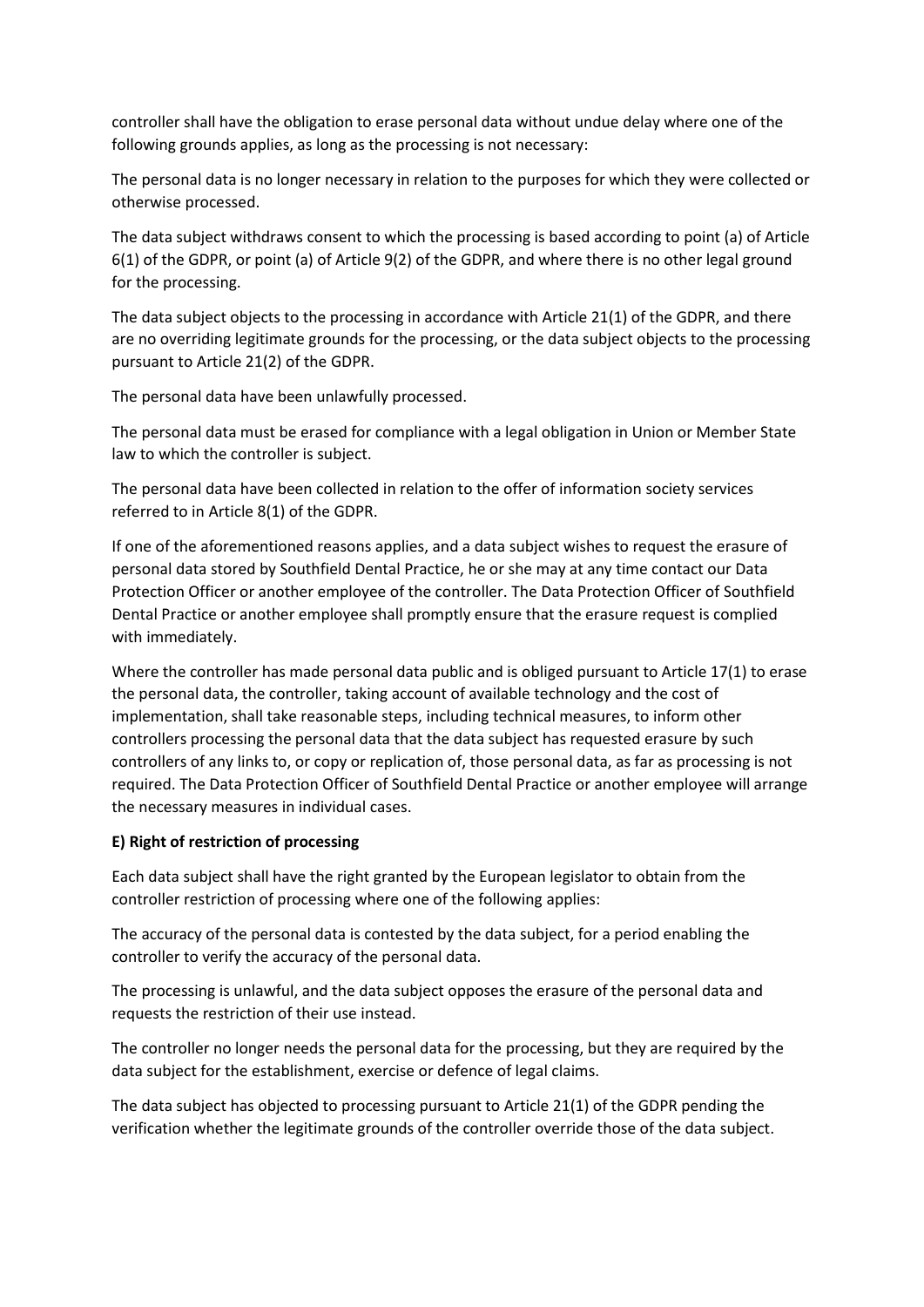controller shall have the obligation to erase personal data without undue delay where one of the following grounds applies, as long as the processing is not necessary:

The personal data is no longer necessary in relation to the purposes for which they were collected or otherwise processed.

The data subject withdraws consent to which the processing is based according to point (a) of Article 6(1) of the GDPR, or point (a) of Article 9(2) of the GDPR, and where there is no other legal ground for the processing.

The data subject objects to the processing in accordance with Article 21(1) of the GDPR, and there are no overriding legitimate grounds for the processing, or the data subject objects to the processing pursuant to Article 21(2) of the GDPR.

The personal data have been unlawfully processed.

The personal data must be erased for compliance with a legal obligation in Union or Member State law to which the controller is subject.

The personal data have been collected in relation to the offer of information society services referred to in Article 8(1) of the GDPR.

If one of the aforementioned reasons applies, and a data subject wishes to request the erasure of personal data stored by Southfield Dental Practice, he or she may at any time contact our Data Protection Officer or another employee of the controller. The Data Protection Officer of Southfield Dental Practice or another employee shall promptly ensure that the erasure request is complied with immediately.

Where the controller has made personal data public and is obliged pursuant to Article 17(1) to erase the personal data, the controller, taking account of available technology and the cost of implementation, shall take reasonable steps, including technical measures, to inform other controllers processing the personal data that the data subject has requested erasure by such controllers of any links to, or copy or replication of, those personal data, as far as processing is not required. The Data Protection Officer of Southfield Dental Practice or another employee will arrange the necessary measures in individual cases.

#### **E) Right of restriction of processing**

Each data subject shall have the right granted by the European legislator to obtain from the controller restriction of processing where one of the following applies:

The accuracy of the personal data is contested by the data subject, for a period enabling the controller to verify the accuracy of the personal data.

The processing is unlawful, and the data subject opposes the erasure of the personal data and requests the restriction of their use instead.

The controller no longer needs the personal data for the processing, but they are required by the data subject for the establishment, exercise or defence of legal claims.

The data subject has objected to processing pursuant to Article 21(1) of the GDPR pending the verification whether the legitimate grounds of the controller override those of the data subject.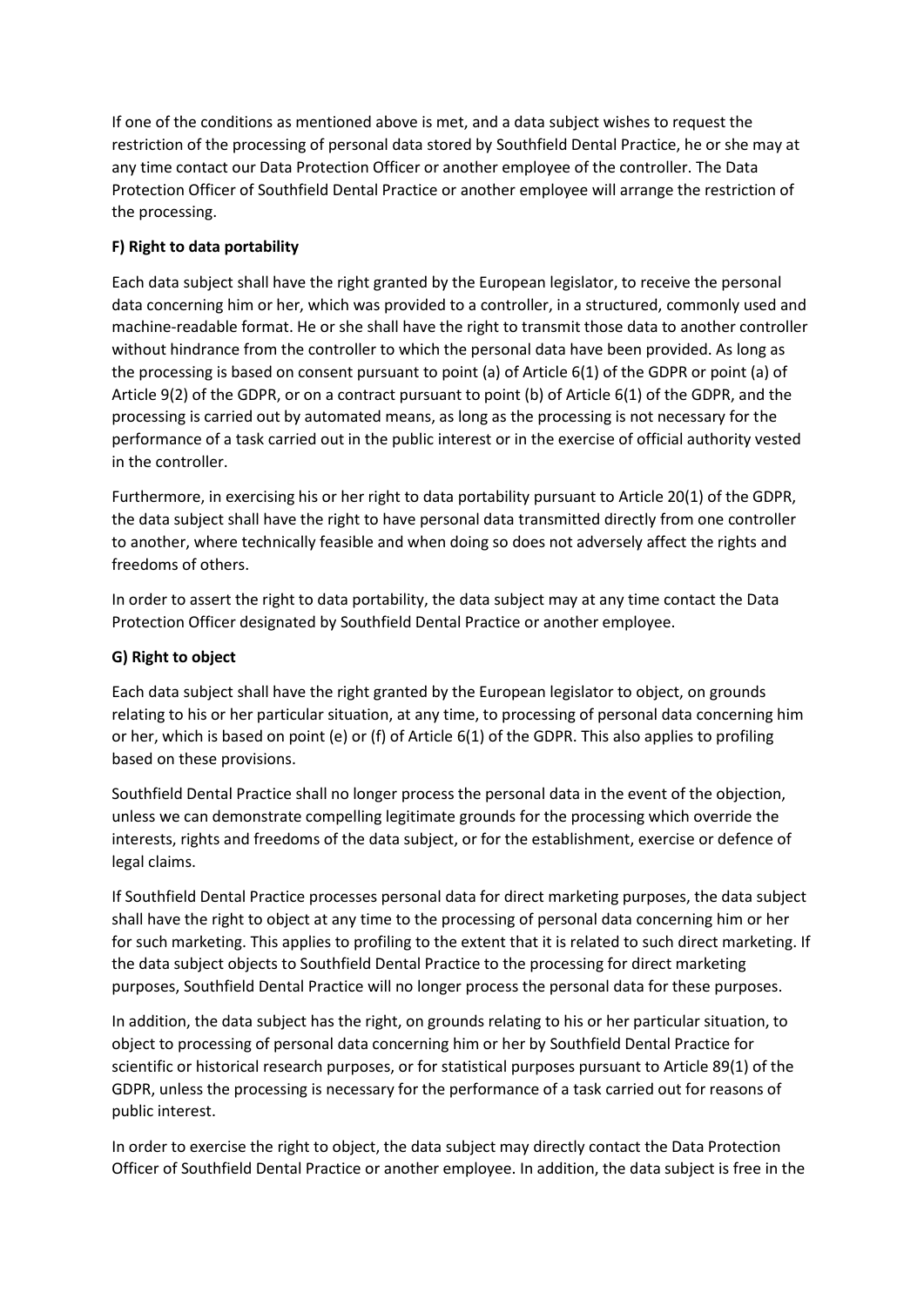If one of the conditions as mentioned above is met, and a data subject wishes to request the restriction of the processing of personal data stored by Southfield Dental Practice, he or she may at any time contact our Data Protection Officer or another employee of the controller. The Data Protection Officer of Southfield Dental Practice or another employee will arrange the restriction of the processing.

# **F) Right to data portability**

Each data subject shall have the right granted by the European legislator, to receive the personal data concerning him or her, which was provided to a controller, in a structured, commonly used and machine-readable format. He or she shall have the right to transmit those data to another controller without hindrance from the controller to which the personal data have been provided. As long as the processing is based on consent pursuant to point (a) of Article 6(1) of the GDPR or point (a) of Article 9(2) of the GDPR, or on a contract pursuant to point (b) of Article 6(1) of the GDPR, and the processing is carried out by automated means, as long as the processing is not necessary for the performance of a task carried out in the public interest or in the exercise of official authority vested in the controller.

Furthermore, in exercising his or her right to data portability pursuant to Article 20(1) of the GDPR, the data subject shall have the right to have personal data transmitted directly from one controller to another, where technically feasible and when doing so does not adversely affect the rights and freedoms of others.

In order to assert the right to data portability, the data subject may at any time contact the Data Protection Officer designated by Southfield Dental Practice or another employee.

# **G) Right to object**

Each data subject shall have the right granted by the European legislator to object, on grounds relating to his or her particular situation, at any time, to processing of personal data concerning him or her, which is based on point (e) or (f) of Article 6(1) of the GDPR. This also applies to profiling based on these provisions.

Southfield Dental Practice shall no longer process the personal data in the event of the objection, unless we can demonstrate compelling legitimate grounds for the processing which override the interests, rights and freedoms of the data subject, or for the establishment, exercise or defence of legal claims.

If Southfield Dental Practice processes personal data for direct marketing purposes, the data subject shall have the right to object at any time to the processing of personal data concerning him or her for such marketing. This applies to profiling to the extent that it is related to such direct marketing. If the data subject objects to Southfield Dental Practice to the processing for direct marketing purposes, Southfield Dental Practice will no longer process the personal data for these purposes.

In addition, the data subject has the right, on grounds relating to his or her particular situation, to object to processing of personal data concerning him or her by Southfield Dental Practice for scientific or historical research purposes, or for statistical purposes pursuant to Article 89(1) of the GDPR, unless the processing is necessary for the performance of a task carried out for reasons of public interest.

In order to exercise the right to object, the data subject may directly contact the Data Protection Officer of Southfield Dental Practice or another employee. In addition, the data subject is free in the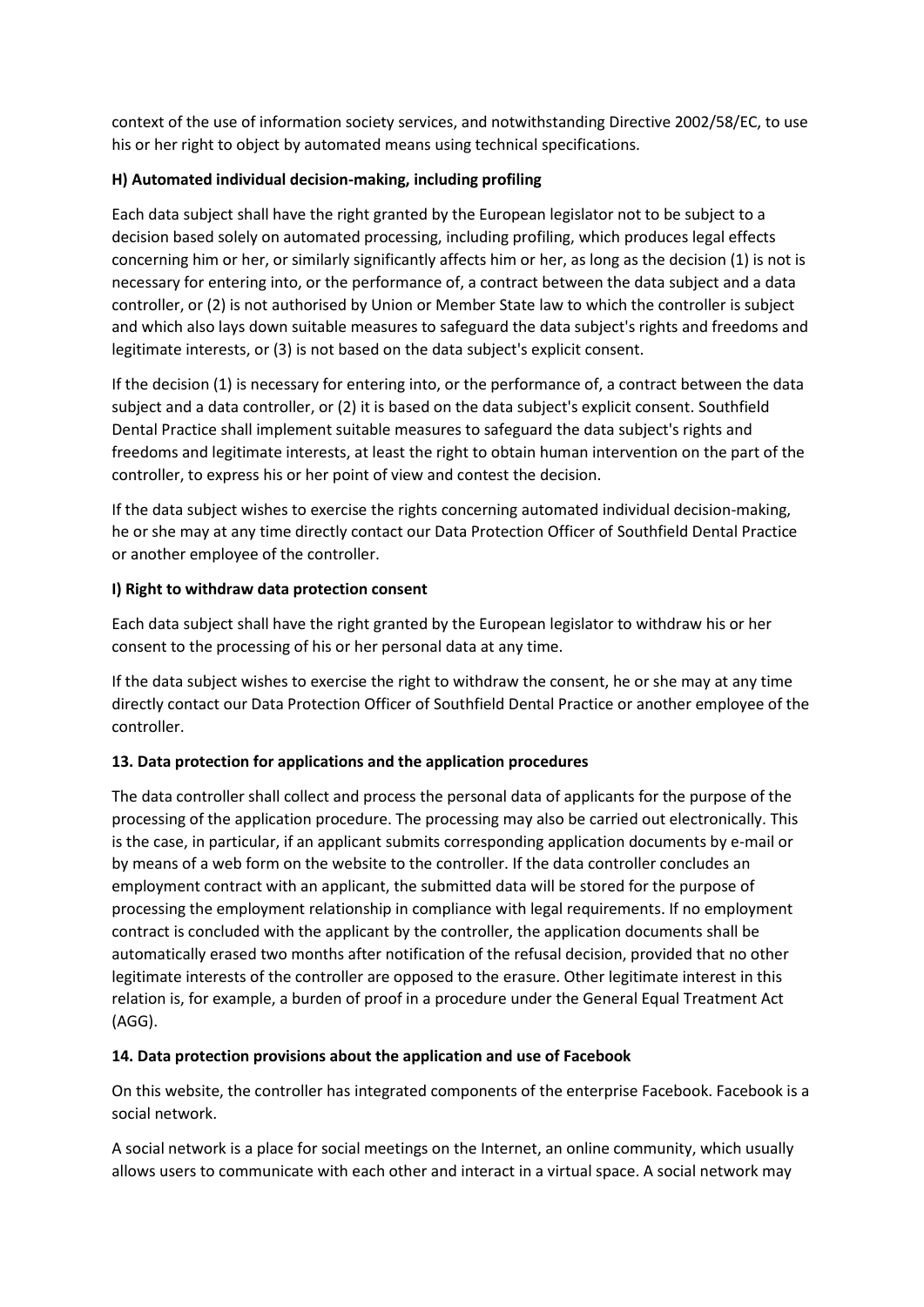context of the use of information society services, and notwithstanding Directive 2002/58/EC, to use his or her right to object by automated means using technical specifications.

# **H) Automated individual decision-making, including profiling**

Each data subject shall have the right granted by the European legislator not to be subject to a decision based solely on automated processing, including profiling, which produces legal effects concerning him or her, or similarly significantly affects him or her, as long as the decision (1) is not is necessary for entering into, or the performance of, a contract between the data subject and a data controller, or (2) is not authorised by Union or Member State law to which the controller is subject and which also lays down suitable measures to safeguard the data subject's rights and freedoms and legitimate interests, or (3) is not based on the data subject's explicit consent.

If the decision (1) is necessary for entering into, or the performance of, a contract between the data subject and a data controller, or (2) it is based on the data subject's explicit consent. Southfield Dental Practice shall implement suitable measures to safeguard the data subject's rights and freedoms and legitimate interests, at least the right to obtain human intervention on the part of the controller, to express his or her point of view and contest the decision.

If the data subject wishes to exercise the rights concerning automated individual decision-making, he or she may at any time directly contact our Data Protection Officer of Southfield Dental Practice or another employee of the controller.

# **I) Right to withdraw data protection consent**

Each data subject shall have the right granted by the European legislator to withdraw his or her consent to the processing of his or her personal data at any time.

If the data subject wishes to exercise the right to withdraw the consent, he or she may at any time directly contact our Data Protection Officer of Southfield Dental Practice or another employee of the controller.

# **13. Data protection for applications and the application procedures**

The data controller shall collect and process the personal data of applicants for the purpose of the processing of the application procedure. The processing may also be carried out electronically. This is the case, in particular, if an applicant submits corresponding application documents by e-mail or by means of a web form on the website to the controller. If the data controller concludes an employment contract with an applicant, the submitted data will be stored for the purpose of processing the employment relationship in compliance with legal requirements. If no employment contract is concluded with the applicant by the controller, the application documents shall be automatically erased two months after notification of the refusal decision, provided that no other legitimate interests of the controller are opposed to the erasure. Other legitimate interest in this relation is, for example, a burden of proof in a procedure under the General Equal Treatment Act (AGG).

# **14. Data protection provisions about the application and use of Facebook**

On this website, the controller has integrated components of the enterprise Facebook. Facebook is a social network.

A social network is a place for social meetings on the Internet, an online community, which usually allows users to communicate with each other and interact in a virtual space. A social network may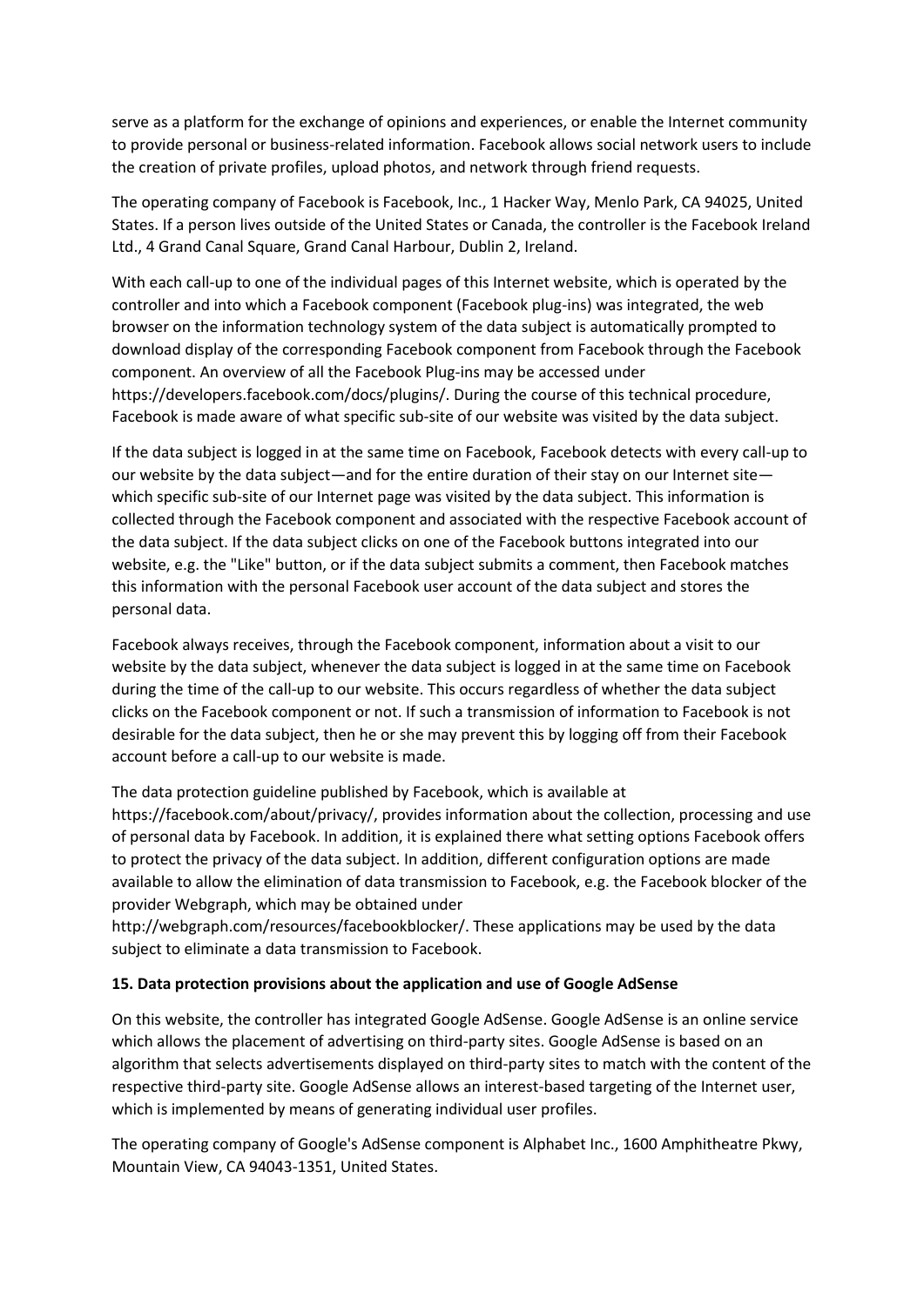serve as a platform for the exchange of opinions and experiences, or enable the Internet community to provide personal or business-related information. Facebook allows social network users to include the creation of private profiles, upload photos, and network through friend requests.

The operating company of Facebook is Facebook, Inc., 1 Hacker Way, Menlo Park, CA 94025, United States. If a person lives outside of the United States or Canada, the controller is the Facebook Ireland Ltd., 4 Grand Canal Square, Grand Canal Harbour, Dublin 2, Ireland.

With each call-up to one of the individual pages of this Internet website, which is operated by the controller and into which a Facebook component (Facebook plug-ins) was integrated, the web browser on the information technology system of the data subject is automatically prompted to download display of the corresponding Facebook component from Facebook through the Facebook component. An overview of all the Facebook Plug-ins may be accessed under https://developers.facebook.com/docs/plugins/. During the course of this technical procedure, Facebook is made aware of what specific sub-site of our website was visited by the data subject.

If the data subject is logged in at the same time on Facebook, Facebook detects with every call-up to our website by the data subject—and for the entire duration of their stay on our Internet site which specific sub-site of our Internet page was visited by the data subject. This information is collected through the Facebook component and associated with the respective Facebook account of the data subject. If the data subject clicks on one of the Facebook buttons integrated into our website, e.g. the "Like" button, or if the data subject submits a comment, then Facebook matches this information with the personal Facebook user account of the data subject and stores the personal data.

Facebook always receives, through the Facebook component, information about a visit to our website by the data subject, whenever the data subject is logged in at the same time on Facebook during the time of the call-up to our website. This occurs regardless of whether the data subject clicks on the Facebook component or not. If such a transmission of information to Facebook is not desirable for the data subject, then he or she may prevent this by logging off from their Facebook account before a call-up to our website is made.

The data protection guideline published by Facebook, which is available at

https://facebook.com/about/privacy/, provides information about the collection, processing and use of personal data by Facebook. In addition, it is explained there what setting options Facebook offers to protect the privacy of the data subject. In addition, different configuration options are made available to allow the elimination of data transmission to Facebook, e.g. the Facebook blocker of the provider Webgraph, which may be obtained under

http://webgraph.com/resources/facebookblocker/. These applications may be used by the data subject to eliminate a data transmission to Facebook.

# **15. Data protection provisions about the application and use of Google AdSense**

On this website, the controller has integrated Google AdSense. Google AdSense is an online service which allows the placement of advertising on third-party sites. Google AdSense is based on an algorithm that selects advertisements displayed on third-party sites to match with the content of the respective third-party site. Google AdSense allows an interest-based targeting of the Internet user, which is implemented by means of generating individual user profiles.

The operating company of Google's AdSense component is Alphabet Inc., 1600 Amphitheatre Pkwy, Mountain View, CA 94043-1351, United States.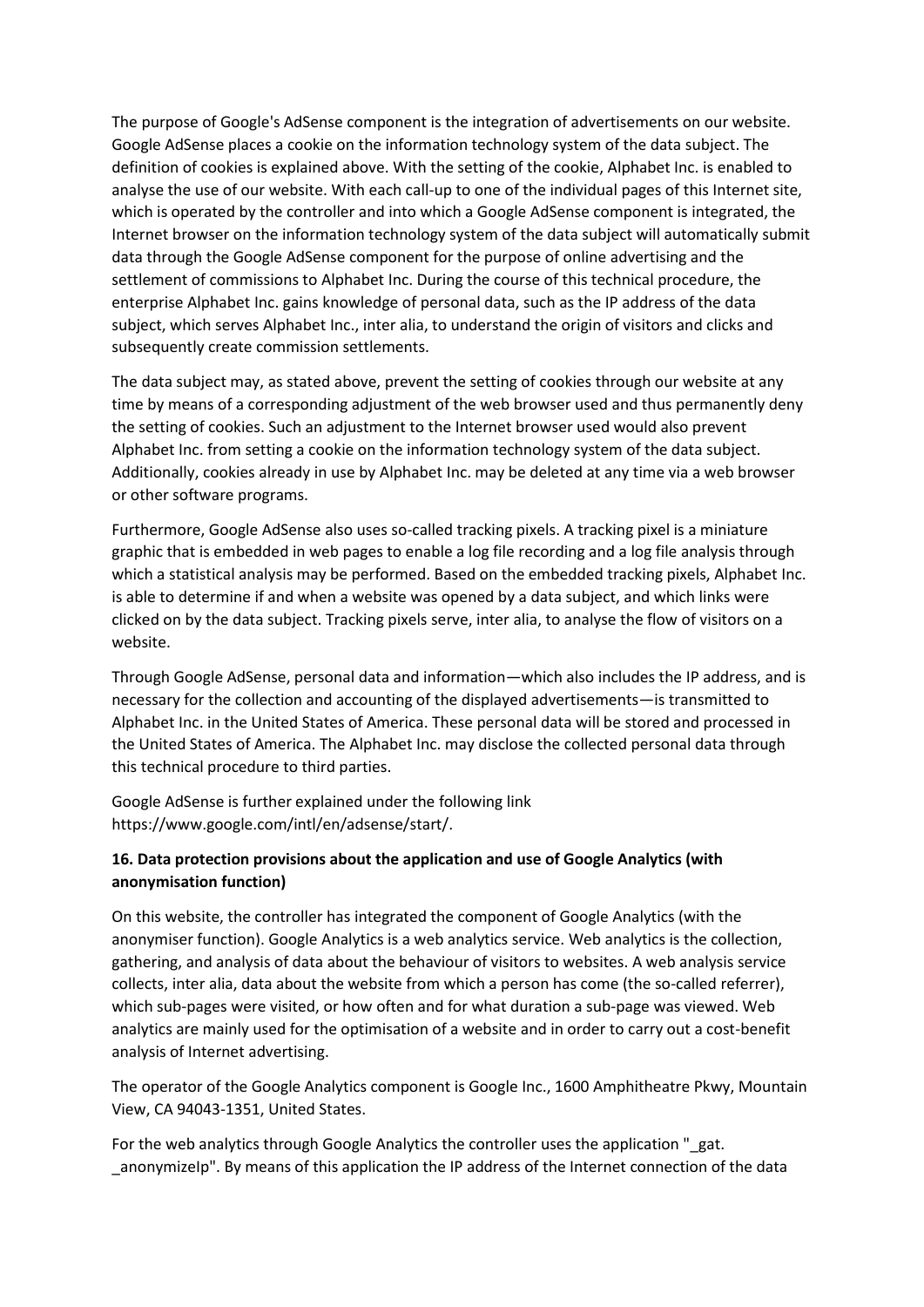The purpose of Google's AdSense component is the integration of advertisements on our website. Google AdSense places a cookie on the information technology system of the data subject. The definition of cookies is explained above. With the setting of the cookie, Alphabet Inc. is enabled to analyse the use of our website. With each call-up to one of the individual pages of this Internet site, which is operated by the controller and into which a Google AdSense component is integrated, the Internet browser on the information technology system of the data subject will automatically submit data through the Google AdSense component for the purpose of online advertising and the settlement of commissions to Alphabet Inc. During the course of this technical procedure, the enterprise Alphabet Inc. gains knowledge of personal data, such as the IP address of the data subject, which serves Alphabet Inc., inter alia, to understand the origin of visitors and clicks and subsequently create commission settlements.

The data subject may, as stated above, prevent the setting of cookies through our website at any time by means of a corresponding adjustment of the web browser used and thus permanently deny the setting of cookies. Such an adjustment to the Internet browser used would also prevent Alphabet Inc. from setting a cookie on the information technology system of the data subject. Additionally, cookies already in use by Alphabet Inc. may be deleted at any time via a web browser or other software programs.

Furthermore, Google AdSense also uses so-called tracking pixels. A tracking pixel is a miniature graphic that is embedded in web pages to enable a log file recording and a log file analysis through which a statistical analysis may be performed. Based on the embedded tracking pixels, Alphabet Inc. is able to determine if and when a website was opened by a data subject, and which links were clicked on by the data subject. Tracking pixels serve, inter alia, to analyse the flow of visitors on a website.

Through Google AdSense, personal data and information—which also includes the IP address, and is necessary for the collection and accounting of the displayed advertisements—is transmitted to Alphabet Inc. in the United States of America. These personal data will be stored and processed in the United States of America. The Alphabet Inc. may disclose the collected personal data through this technical procedure to third parties.

Google AdSense is further explained under the following link https://www.google.com/intl/en/adsense/start/.

# **16. Data protection provisions about the application and use of Google Analytics (with anonymisation function)**

On this website, the controller has integrated the component of Google Analytics (with the anonymiser function). Google Analytics is a web analytics service. Web analytics is the collection, gathering, and analysis of data about the behaviour of visitors to websites. A web analysis service collects, inter alia, data about the website from which a person has come (the so-called referrer), which sub-pages were visited, or how often and for what duration a sub-page was viewed. Web analytics are mainly used for the optimisation of a website and in order to carry out a cost-benefit analysis of Internet advertising.

The operator of the Google Analytics component is Google Inc., 1600 Amphitheatre Pkwy, Mountain View, CA 94043-1351, United States.

For the web analytics through Google Analytics the controller uses the application "\_gat. anonymizeIp". By means of this application the IP address of the Internet connection of the data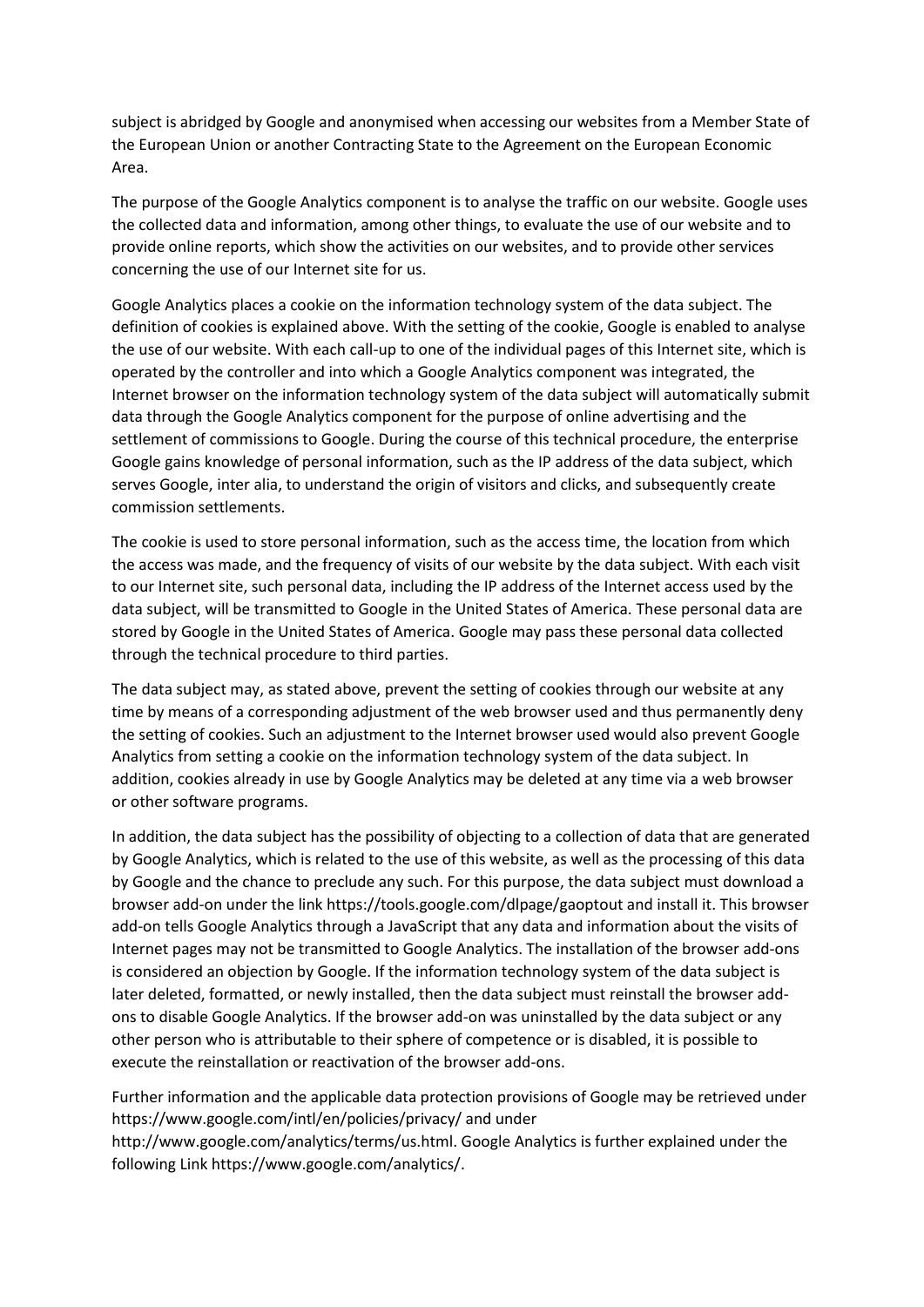subject is abridged by Google and anonymised when accessing our websites from a Member State of the European Union or another Contracting State to the Agreement on the European Economic Area.

The purpose of the Google Analytics component is to analyse the traffic on our website. Google uses the collected data and information, among other things, to evaluate the use of our website and to provide online reports, which show the activities on our websites, and to provide other services concerning the use of our Internet site for us.

Google Analytics places a cookie on the information technology system of the data subject. The definition of cookies is explained above. With the setting of the cookie, Google is enabled to analyse the use of our website. With each call-up to one of the individual pages of this Internet site, which is operated by the controller and into which a Google Analytics component was integrated, the Internet browser on the information technology system of the data subject will automatically submit data through the Google Analytics component for the purpose of online advertising and the settlement of commissions to Google. During the course of this technical procedure, the enterprise Google gains knowledge of personal information, such as the IP address of the data subject, which serves Google, inter alia, to understand the origin of visitors and clicks, and subsequently create commission settlements.

The cookie is used to store personal information, such as the access time, the location from which the access was made, and the frequency of visits of our website by the data subject. With each visit to our Internet site, such personal data, including the IP address of the Internet access used by the data subject, will be transmitted to Google in the United States of America. These personal data are stored by Google in the United States of America. Google may pass these personal data collected through the technical procedure to third parties.

The data subject may, as stated above, prevent the setting of cookies through our website at any time by means of a corresponding adjustment of the web browser used and thus permanently deny the setting of cookies. Such an adjustment to the Internet browser used would also prevent Google Analytics from setting a cookie on the information technology system of the data subject. In addition, cookies already in use by Google Analytics may be deleted at any time via a web browser or other software programs.

In addition, the data subject has the possibility of objecting to a collection of data that are generated by Google Analytics, which is related to the use of this website, as well as the processing of this data by Google and the chance to preclude any such. For this purpose, the data subject must download a browser add-on under the link https://tools.google.com/dlpage/gaoptout and install it. This browser add-on tells Google Analytics through a JavaScript that any data and information about the visits of Internet pages may not be transmitted to Google Analytics. The installation of the browser add-ons is considered an objection by Google. If the information technology system of the data subject is later deleted, formatted, or newly installed, then the data subject must reinstall the browser addons to disable Google Analytics. If the browser add-on was uninstalled by the data subject or any other person who is attributable to their sphere of competence or is disabled, it is possible to execute the reinstallation or reactivation of the browser add-ons.

Further information and the applicable data protection provisions of Google may be retrieved under https://www.google.com/intl/en/policies/privacy/ and under http://www.google.com/analytics/terms/us.html. Google Analytics is further explained under the following Link https://www.google.com/analytics/.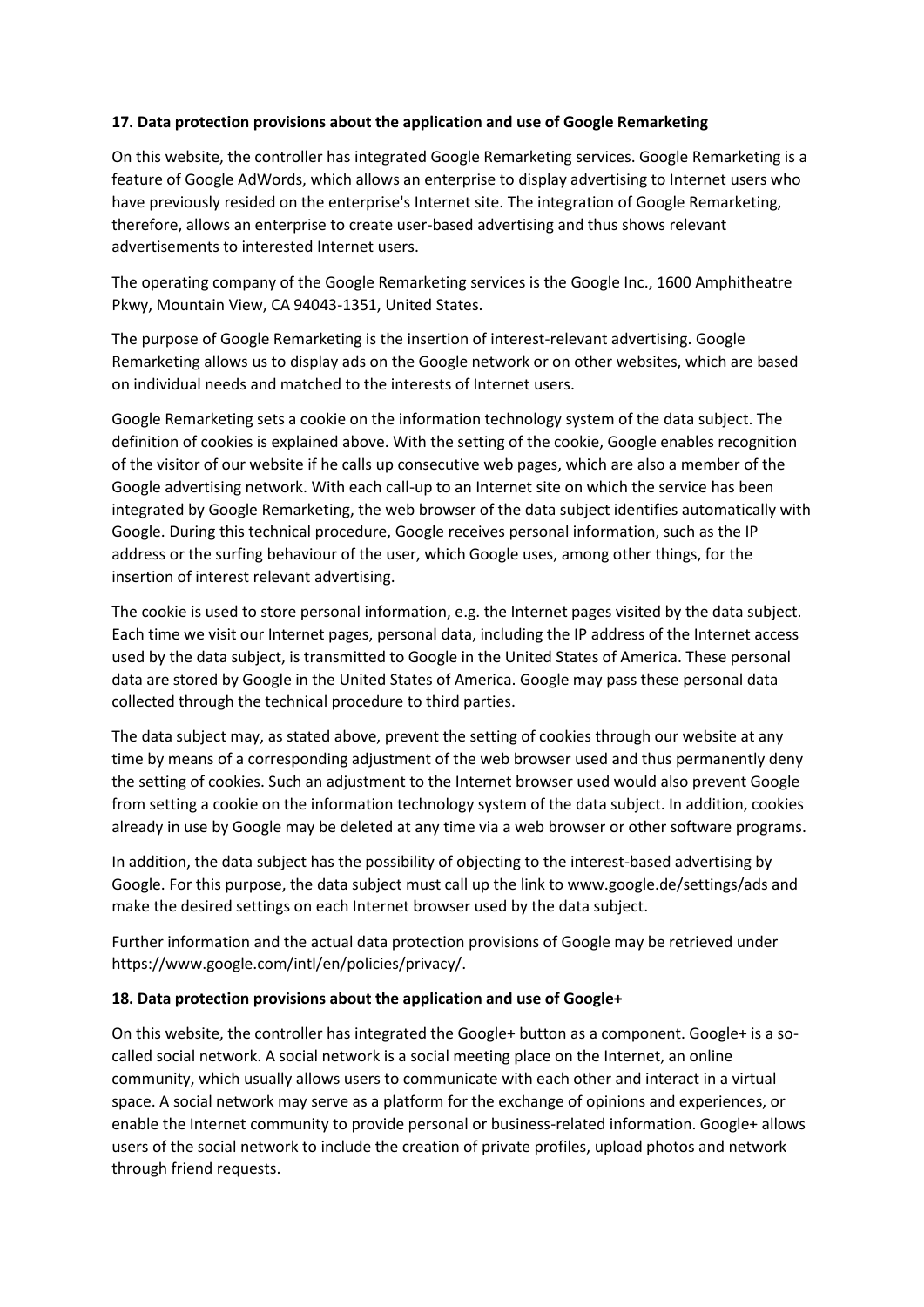### **17. Data protection provisions about the application and use of Google Remarketing**

On this website, the controller has integrated Google Remarketing services. Google Remarketing is a feature of Google AdWords, which allows an enterprise to display advertising to Internet users who have previously resided on the enterprise's Internet site. The integration of Google Remarketing, therefore, allows an enterprise to create user-based advertising and thus shows relevant advertisements to interested Internet users.

The operating company of the Google Remarketing services is the Google Inc., 1600 Amphitheatre Pkwy, Mountain View, CA 94043-1351, United States.

The purpose of Google Remarketing is the insertion of interest-relevant advertising. Google Remarketing allows us to display ads on the Google network or on other websites, which are based on individual needs and matched to the interests of Internet users.

Google Remarketing sets a cookie on the information technology system of the data subject. The definition of cookies is explained above. With the setting of the cookie, Google enables recognition of the visitor of our website if he calls up consecutive web pages, which are also a member of the Google advertising network. With each call-up to an Internet site on which the service has been integrated by Google Remarketing, the web browser of the data subject identifies automatically with Google. During this technical procedure, Google receives personal information, such as the IP address or the surfing behaviour of the user, which Google uses, among other things, for the insertion of interest relevant advertising.

The cookie is used to store personal information, e.g. the Internet pages visited by the data subject. Each time we visit our Internet pages, personal data, including the IP address of the Internet access used by the data subject, is transmitted to Google in the United States of America. These personal data are stored by Google in the United States of America. Google may pass these personal data collected through the technical procedure to third parties.

The data subject may, as stated above, prevent the setting of cookies through our website at any time by means of a corresponding adjustment of the web browser used and thus permanently deny the setting of cookies. Such an adjustment to the Internet browser used would also prevent Google from setting a cookie on the information technology system of the data subject. In addition, cookies already in use by Google may be deleted at any time via a web browser or other software programs.

In addition, the data subject has the possibility of objecting to the interest-based advertising by Google. For this purpose, the data subject must call up the link to www.google.de/settings/ads and make the desired settings on each Internet browser used by the data subject.

Further information and the actual data protection provisions of Google may be retrieved under https://www.google.com/intl/en/policies/privacy/.

#### **18. Data protection provisions about the application and use of Google+**

On this website, the controller has integrated the Google+ button as a component. Google+ is a socalled social network. A social network is a social meeting place on the Internet, an online community, which usually allows users to communicate with each other and interact in a virtual space. A social network may serve as a platform for the exchange of opinions and experiences, or enable the Internet community to provide personal or business-related information. Google+ allows users of the social network to include the creation of private profiles, upload photos and network through friend requests.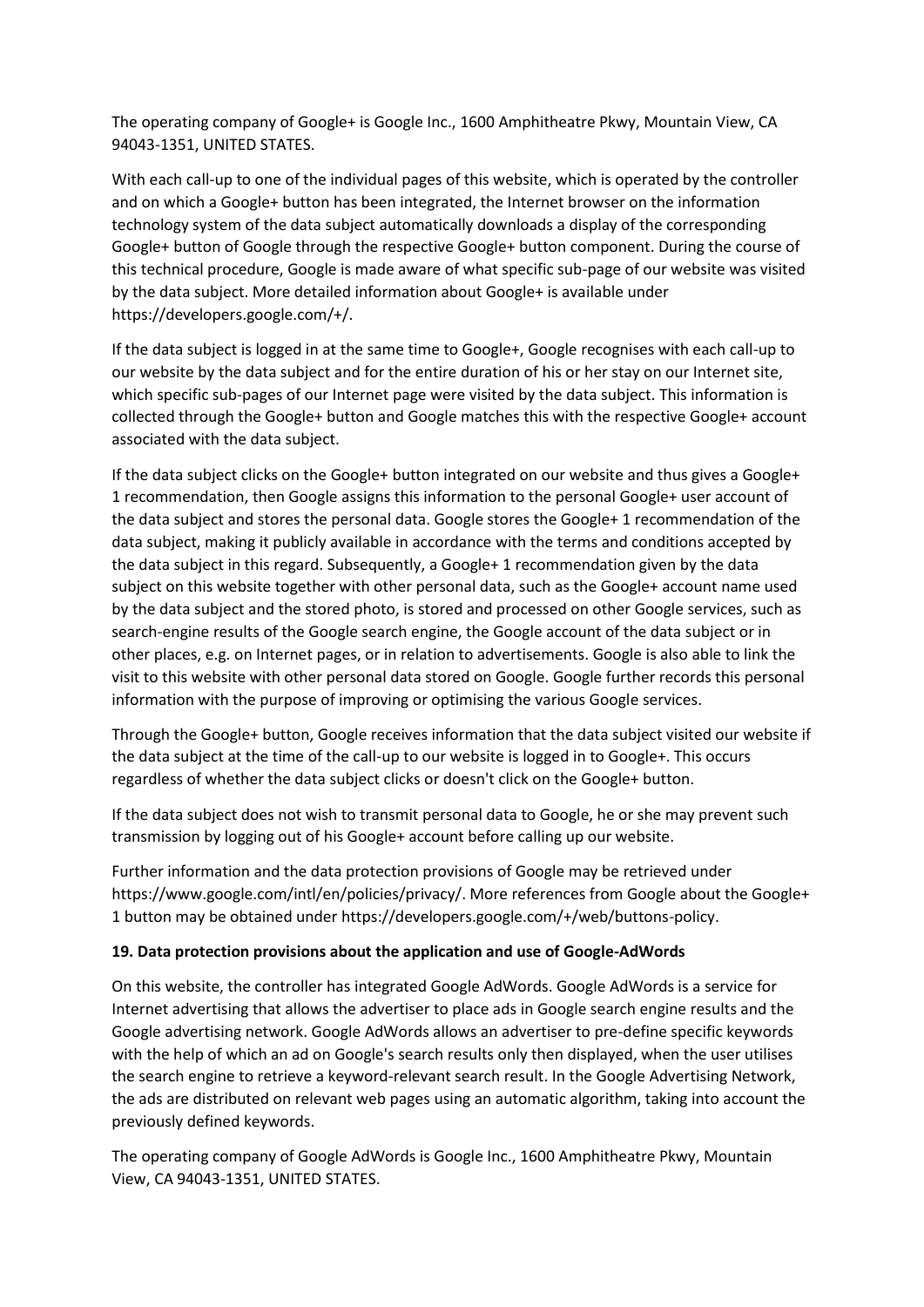The operating company of Google+ is Google Inc., 1600 Amphitheatre Pkwy, Mountain View, CA 94043-1351, UNITED STATES.

With each call-up to one of the individual pages of this website, which is operated by the controller and on which a Google+ button has been integrated, the Internet browser on the information technology system of the data subject automatically downloads a display of the corresponding Google+ button of Google through the respective Google+ button component. During the course of this technical procedure, Google is made aware of what specific sub-page of our website was visited by the data subject. More detailed information about Google+ is available under https://developers.google.com/+/.

If the data subject is logged in at the same time to Google+, Google recognises with each call-up to our website by the data subject and for the entire duration of his or her stay on our Internet site, which specific sub-pages of our Internet page were visited by the data subject. This information is collected through the Google+ button and Google matches this with the respective Google+ account associated with the data subject.

If the data subject clicks on the Google+ button integrated on our website and thus gives a Google+ 1 recommendation, then Google assigns this information to the personal Google+ user account of the data subject and stores the personal data. Google stores the Google+ 1 recommendation of the data subject, making it publicly available in accordance with the terms and conditions accepted by the data subject in this regard. Subsequently, a Google+ 1 recommendation given by the data subject on this website together with other personal data, such as the Google+ account name used by the data subject and the stored photo, is stored and processed on other Google services, such as search-engine results of the Google search engine, the Google account of the data subject or in other places, e.g. on Internet pages, or in relation to advertisements. Google is also able to link the visit to this website with other personal data stored on Google. Google further records this personal information with the purpose of improving or optimising the various Google services.

Through the Google+ button, Google receives information that the data subject visited our website if the data subject at the time of the call-up to our website is logged in to Google+. This occurs regardless of whether the data subject clicks or doesn't click on the Google+ button.

If the data subject does not wish to transmit personal data to Google, he or she may prevent such transmission by logging out of his Google+ account before calling up our website.

Further information and the data protection provisions of Google may be retrieved under https://www.google.com/intl/en/policies/privacy/. More references from Google about the Google+ 1 button may be obtained under https://developers.google.com/+/web/buttons-policy.

#### **19. Data protection provisions about the application and use of Google-AdWords**

On this website, the controller has integrated Google AdWords. Google AdWords is a service for Internet advertising that allows the advertiser to place ads in Google search engine results and the Google advertising network. Google AdWords allows an advertiser to pre-define specific keywords with the help of which an ad on Google's search results only then displayed, when the user utilises the search engine to retrieve a keyword-relevant search result. In the Google Advertising Network, the ads are distributed on relevant web pages using an automatic algorithm, taking into account the previously defined keywords.

The operating company of Google AdWords is Google Inc., 1600 Amphitheatre Pkwy, Mountain View, CA 94043-1351, UNITED STATES.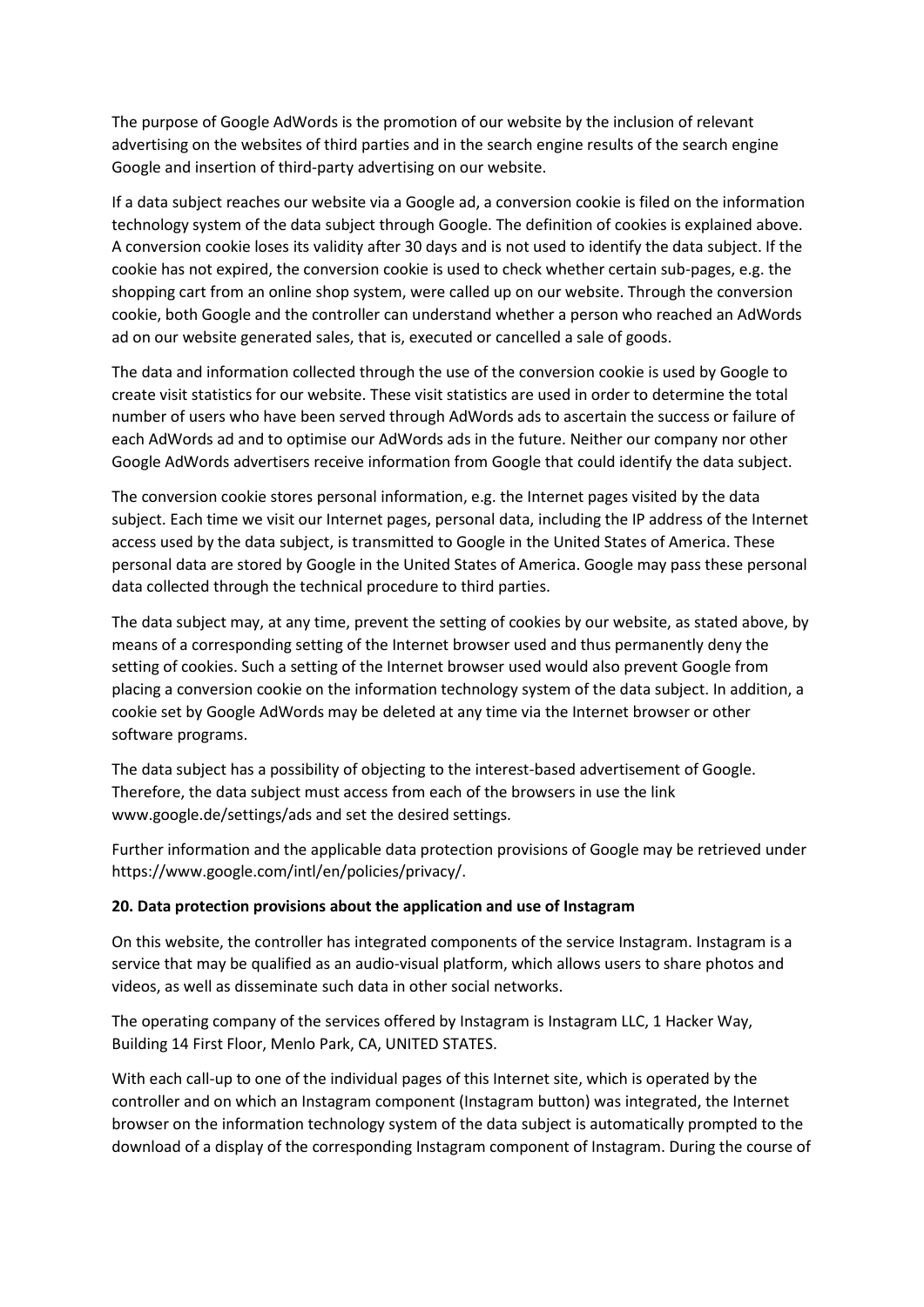The purpose of Google AdWords is the promotion of our website by the inclusion of relevant advertising on the websites of third parties and in the search engine results of the search engine Google and insertion of third-party advertising on our website.

If a data subject reaches our website via a Google ad, a conversion cookie is filed on the information technology system of the data subject through Google. The definition of cookies is explained above. A conversion cookie loses its validity after 30 days and is not used to identify the data subject. If the cookie has not expired, the conversion cookie is used to check whether certain sub-pages, e.g. the shopping cart from an online shop system, were called up on our website. Through the conversion cookie, both Google and the controller can understand whether a person who reached an AdWords ad on our website generated sales, that is, executed or cancelled a sale of goods.

The data and information collected through the use of the conversion cookie is used by Google to create visit statistics for our website. These visit statistics are used in order to determine the total number of users who have been served through AdWords ads to ascertain the success or failure of each AdWords ad and to optimise our AdWords ads in the future. Neither our company nor other Google AdWords advertisers receive information from Google that could identify the data subject.

The conversion cookie stores personal information, e.g. the Internet pages visited by the data subject. Each time we visit our Internet pages, personal data, including the IP address of the Internet access used by the data subject, is transmitted to Google in the United States of America. These personal data are stored by Google in the United States of America. Google may pass these personal data collected through the technical procedure to third parties.

The data subject may, at any time, prevent the setting of cookies by our website, as stated above, by means of a corresponding setting of the Internet browser used and thus permanently deny the setting of cookies. Such a setting of the Internet browser used would also prevent Google from placing a conversion cookie on the information technology system of the data subject. In addition, a cookie set by Google AdWords may be deleted at any time via the Internet browser or other software programs.

The data subject has a possibility of objecting to the interest-based advertisement of Google. Therefore, the data subject must access from each of the browsers in use the link www.google.de/settings/ads and set the desired settings.

Further information and the applicable data protection provisions of Google may be retrieved under https://www.google.com/intl/en/policies/privacy/.

#### **20. Data protection provisions about the application and use of Instagram**

On this website, the controller has integrated components of the service Instagram. Instagram is a service that may be qualified as an audio-visual platform, which allows users to share photos and videos, as well as disseminate such data in other social networks.

The operating company of the services offered by Instagram is Instagram LLC, 1 Hacker Way, Building 14 First Floor, Menlo Park, CA, UNITED STATES.

With each call-up to one of the individual pages of this Internet site, which is operated by the controller and on which an Instagram component (Instagram button) was integrated, the Internet browser on the information technology system of the data subject is automatically prompted to the download of a display of the corresponding Instagram component of Instagram. During the course of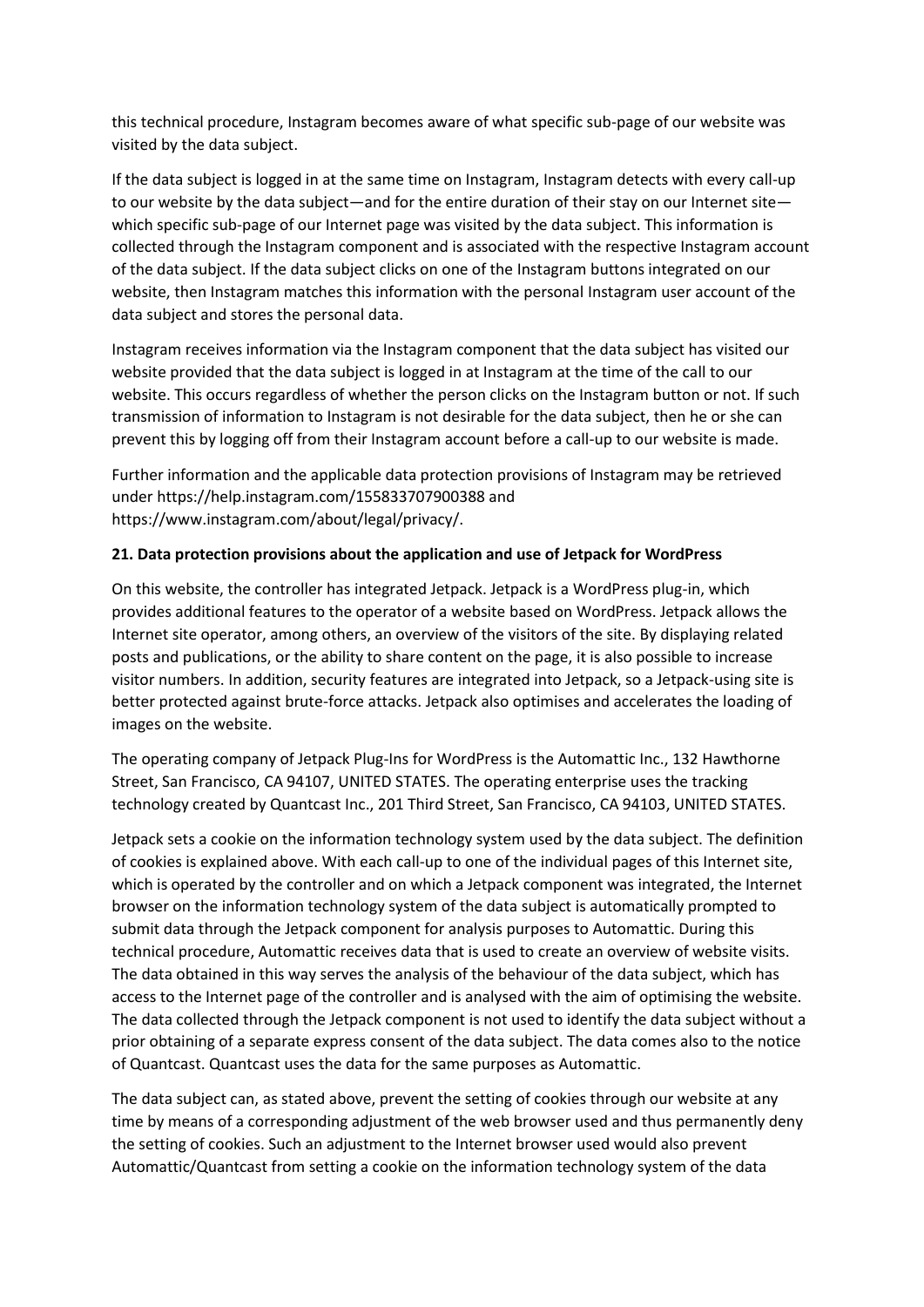this technical procedure, Instagram becomes aware of what specific sub-page of our website was visited by the data subject.

If the data subject is logged in at the same time on Instagram, Instagram detects with every call-up to our website by the data subject—and for the entire duration of their stay on our Internet site which specific sub-page of our Internet page was visited by the data subject. This information is collected through the Instagram component and is associated with the respective Instagram account of the data subject. If the data subject clicks on one of the Instagram buttons integrated on our website, then Instagram matches this information with the personal Instagram user account of the data subject and stores the personal data.

Instagram receives information via the Instagram component that the data subject has visited our website provided that the data subject is logged in at Instagram at the time of the call to our website. This occurs regardless of whether the person clicks on the Instagram button or not. If such transmission of information to Instagram is not desirable for the data subject, then he or she can prevent this by logging off from their Instagram account before a call-up to our website is made.

Further information and the applicable data protection provisions of Instagram may be retrieved under https://help.instagram.com/155833707900388 and https://www.instagram.com/about/legal/privacy/.

# **21. Data protection provisions about the application and use of Jetpack for WordPress**

On this website, the controller has integrated Jetpack. Jetpack is a WordPress plug-in, which provides additional features to the operator of a website based on WordPress. Jetpack allows the Internet site operator, among others, an overview of the visitors of the site. By displaying related posts and publications, or the ability to share content on the page, it is also possible to increase visitor numbers. In addition, security features are integrated into Jetpack, so a Jetpack-using site is better protected against brute-force attacks. Jetpack also optimises and accelerates the loading of images on the website.

The operating company of Jetpack Plug-Ins for WordPress is the Automattic Inc., 132 Hawthorne Street, San Francisco, CA 94107, UNITED STATES. The operating enterprise uses the tracking technology created by Quantcast Inc., 201 Third Street, San Francisco, CA 94103, UNITED STATES.

Jetpack sets a cookie on the information technology system used by the data subject. The definition of cookies is explained above. With each call-up to one of the individual pages of this Internet site, which is operated by the controller and on which a Jetpack component was integrated, the Internet browser on the information technology system of the data subject is automatically prompted to submit data through the Jetpack component for analysis purposes to Automattic. During this technical procedure, Automattic receives data that is used to create an overview of website visits. The data obtained in this way serves the analysis of the behaviour of the data subject, which has access to the Internet page of the controller and is analysed with the aim of optimising the website. The data collected through the Jetpack component is not used to identify the data subject without a prior obtaining of a separate express consent of the data subject. The data comes also to the notice of Quantcast. Quantcast uses the data for the same purposes as Automattic.

The data subject can, as stated above, prevent the setting of cookies through our website at any time by means of a corresponding adjustment of the web browser used and thus permanently deny the setting of cookies. Such an adjustment to the Internet browser used would also prevent Automattic/Quantcast from setting a cookie on the information technology system of the data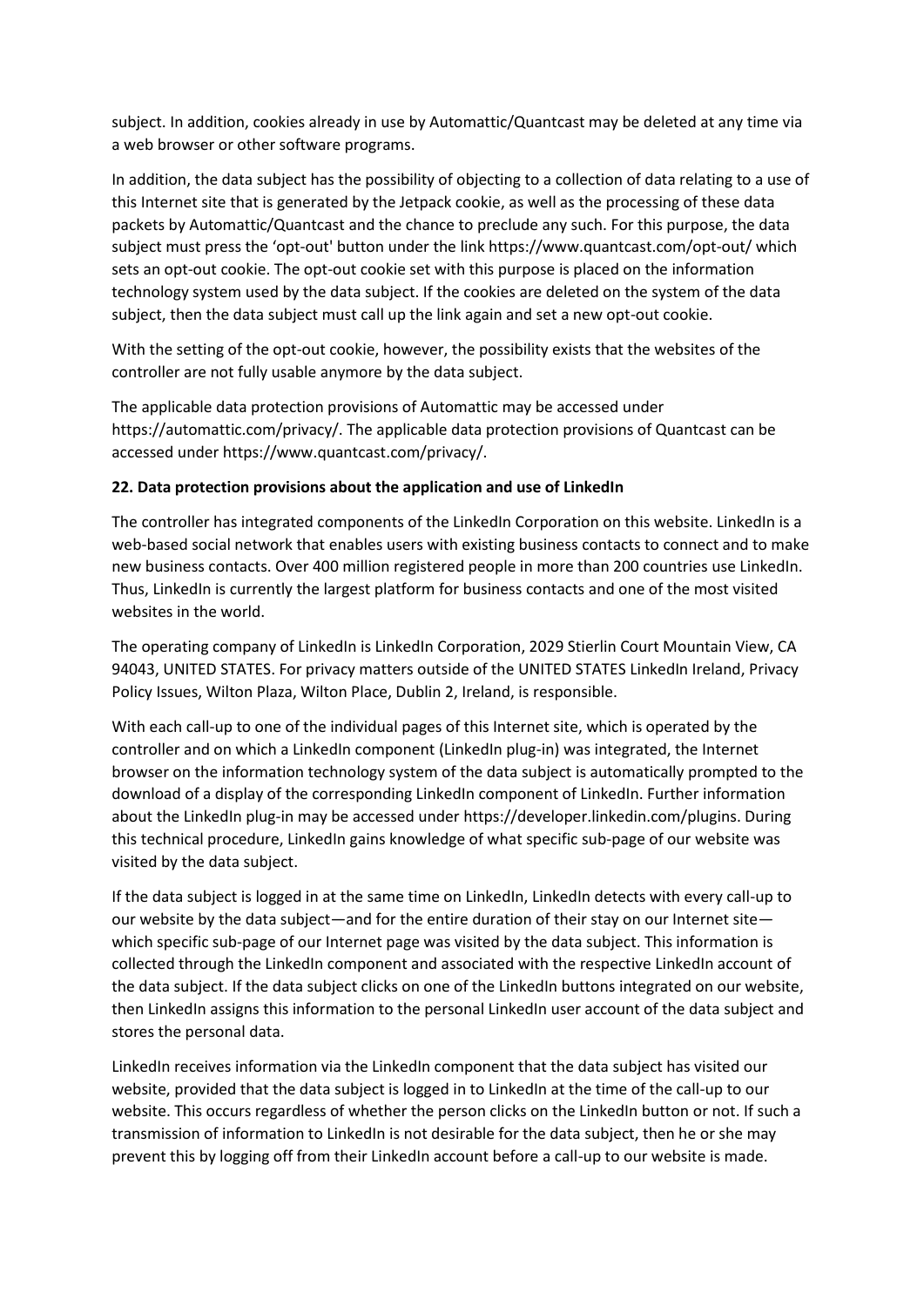subject. In addition, cookies already in use by Automattic/Quantcast may be deleted at any time via a web browser or other software programs.

In addition, the data subject has the possibility of objecting to a collection of data relating to a use of this Internet site that is generated by the Jetpack cookie, as well as the processing of these data packets by Automattic/Quantcast and the chance to preclude any such. For this purpose, the data subject must press the 'opt-out' button under the link https://www.quantcast.com/opt-out/ which sets an opt-out cookie. The opt-out cookie set with this purpose is placed on the information technology system used by the data subject. If the cookies are deleted on the system of the data subject, then the data subject must call up the link again and set a new opt-out cookie.

With the setting of the opt-out cookie, however, the possibility exists that the websites of the controller are not fully usable anymore by the data subject.

The applicable data protection provisions of Automattic may be accessed under https://automattic.com/privacy/. The applicable data protection provisions of Quantcast can be accessed under https://www.quantcast.com/privacy/.

### **22. Data protection provisions about the application and use of LinkedIn**

The controller has integrated components of the LinkedIn Corporation on this website. LinkedIn is a web-based social network that enables users with existing business contacts to connect and to make new business contacts. Over 400 million registered people in more than 200 countries use LinkedIn. Thus, LinkedIn is currently the largest platform for business contacts and one of the most visited websites in the world.

The operating company of LinkedIn is LinkedIn Corporation, 2029 Stierlin Court Mountain View, CA 94043, UNITED STATES. For privacy matters outside of the UNITED STATES LinkedIn Ireland, Privacy Policy Issues, Wilton Plaza, Wilton Place, Dublin 2, Ireland, is responsible.

With each call-up to one of the individual pages of this Internet site, which is operated by the controller and on which a LinkedIn component (LinkedIn plug-in) was integrated, the Internet browser on the information technology system of the data subject is automatically prompted to the download of a display of the corresponding LinkedIn component of LinkedIn. Further information about the LinkedIn plug-in may be accessed under https://developer.linkedin.com/plugins. During this technical procedure, LinkedIn gains knowledge of what specific sub-page of our website was visited by the data subject.

If the data subject is logged in at the same time on LinkedIn, LinkedIn detects with every call-up to our website by the data subject—and for the entire duration of their stay on our Internet site which specific sub-page of our Internet page was visited by the data subject. This information is collected through the LinkedIn component and associated with the respective LinkedIn account of the data subject. If the data subject clicks on one of the LinkedIn buttons integrated on our website, then LinkedIn assigns this information to the personal LinkedIn user account of the data subject and stores the personal data.

LinkedIn receives information via the LinkedIn component that the data subject has visited our website, provided that the data subject is logged in to LinkedIn at the time of the call-up to our website. This occurs regardless of whether the person clicks on the LinkedIn button or not. If such a transmission of information to LinkedIn is not desirable for the data subject, then he or she may prevent this by logging off from their LinkedIn account before a call-up to our website is made.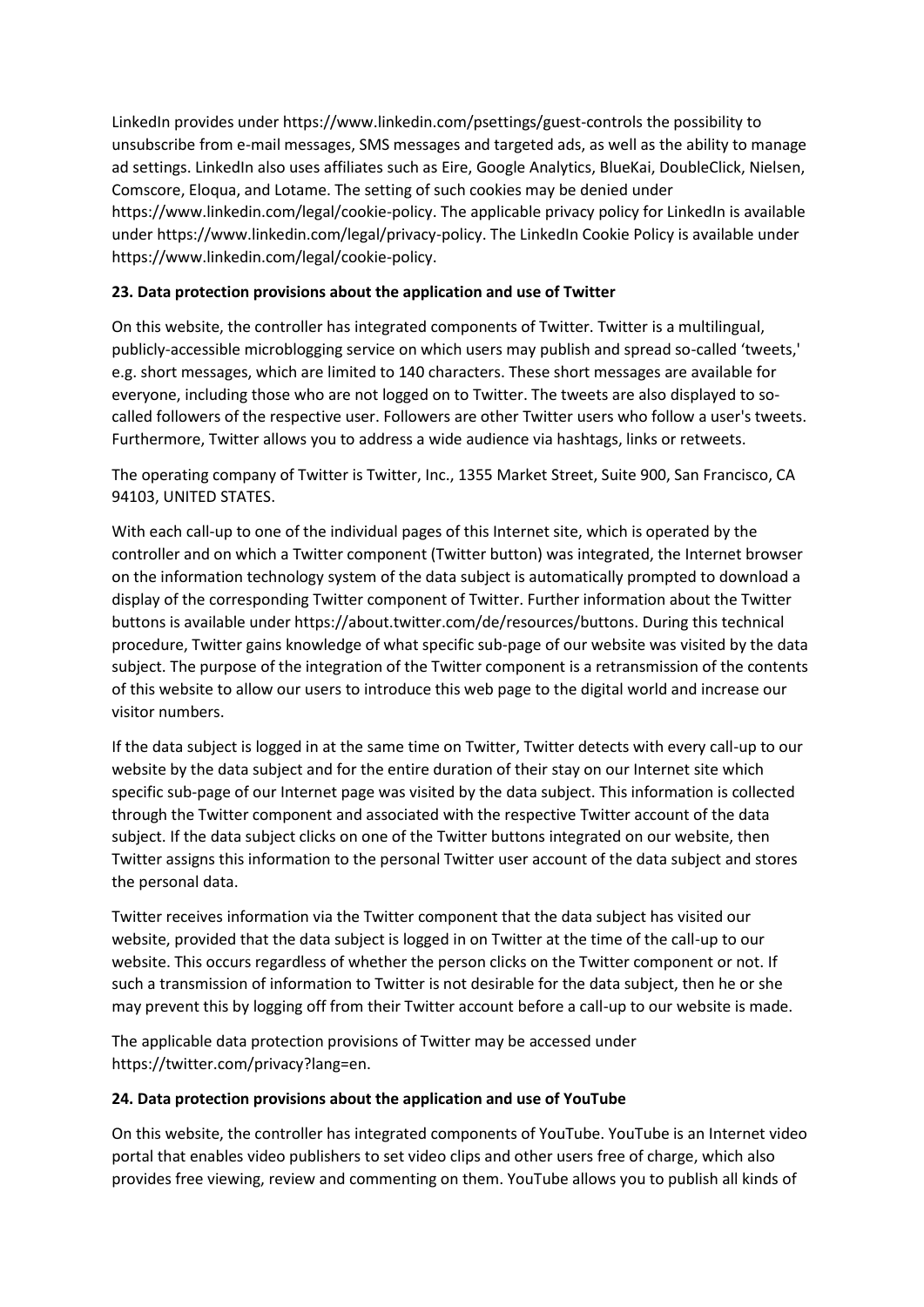LinkedIn provides under https://www.linkedin.com/psettings/guest-controls the possibility to unsubscribe from e-mail messages, SMS messages and targeted ads, as well as the ability to manage ad settings. LinkedIn also uses affiliates such as Eire, Google Analytics, BlueKai, DoubleClick, Nielsen, Comscore, Eloqua, and Lotame. The setting of such cookies may be denied under https://www.linkedin.com/legal/cookie-policy. The applicable privacy policy for LinkedIn is available under https://www.linkedin.com/legal/privacy-policy. The LinkedIn Cookie Policy is available under https://www.linkedin.com/legal/cookie-policy.

### **23. Data protection provisions about the application and use of Twitter**

On this website, the controller has integrated components of Twitter. Twitter is a multilingual, publicly-accessible microblogging service on which users may publish and spread so-called 'tweets,' e.g. short messages, which are limited to 140 characters. These short messages are available for everyone, including those who are not logged on to Twitter. The tweets are also displayed to socalled followers of the respective user. Followers are other Twitter users who follow a user's tweets. Furthermore, Twitter allows you to address a wide audience via hashtags, links or retweets.

The operating company of Twitter is Twitter, Inc., 1355 Market Street, Suite 900, San Francisco, CA 94103, UNITED STATES.

With each call-up to one of the individual pages of this Internet site, which is operated by the controller and on which a Twitter component (Twitter button) was integrated, the Internet browser on the information technology system of the data subject is automatically prompted to download a display of the corresponding Twitter component of Twitter. Further information about the Twitter buttons is available under https://about.twitter.com/de/resources/buttons. During this technical procedure, Twitter gains knowledge of what specific sub-page of our website was visited by the data subject. The purpose of the integration of the Twitter component is a retransmission of the contents of this website to allow our users to introduce this web page to the digital world and increase our visitor numbers.

If the data subject is logged in at the same time on Twitter, Twitter detects with every call-up to our website by the data subject and for the entire duration of their stay on our Internet site which specific sub-page of our Internet page was visited by the data subject. This information is collected through the Twitter component and associated with the respective Twitter account of the data subject. If the data subject clicks on one of the Twitter buttons integrated on our website, then Twitter assigns this information to the personal Twitter user account of the data subject and stores the personal data.

Twitter receives information via the Twitter component that the data subject has visited our website, provided that the data subject is logged in on Twitter at the time of the call-up to our website. This occurs regardless of whether the person clicks on the Twitter component or not. If such a transmission of information to Twitter is not desirable for the data subject, then he or she may prevent this by logging off from their Twitter account before a call-up to our website is made.

The applicable data protection provisions of Twitter may be accessed under https://twitter.com/privacy?lang=en.

#### **24. Data protection provisions about the application and use of YouTube**

On this website, the controller has integrated components of YouTube. YouTube is an Internet video portal that enables video publishers to set video clips and other users free of charge, which also provides free viewing, review and commenting on them. YouTube allows you to publish all kinds of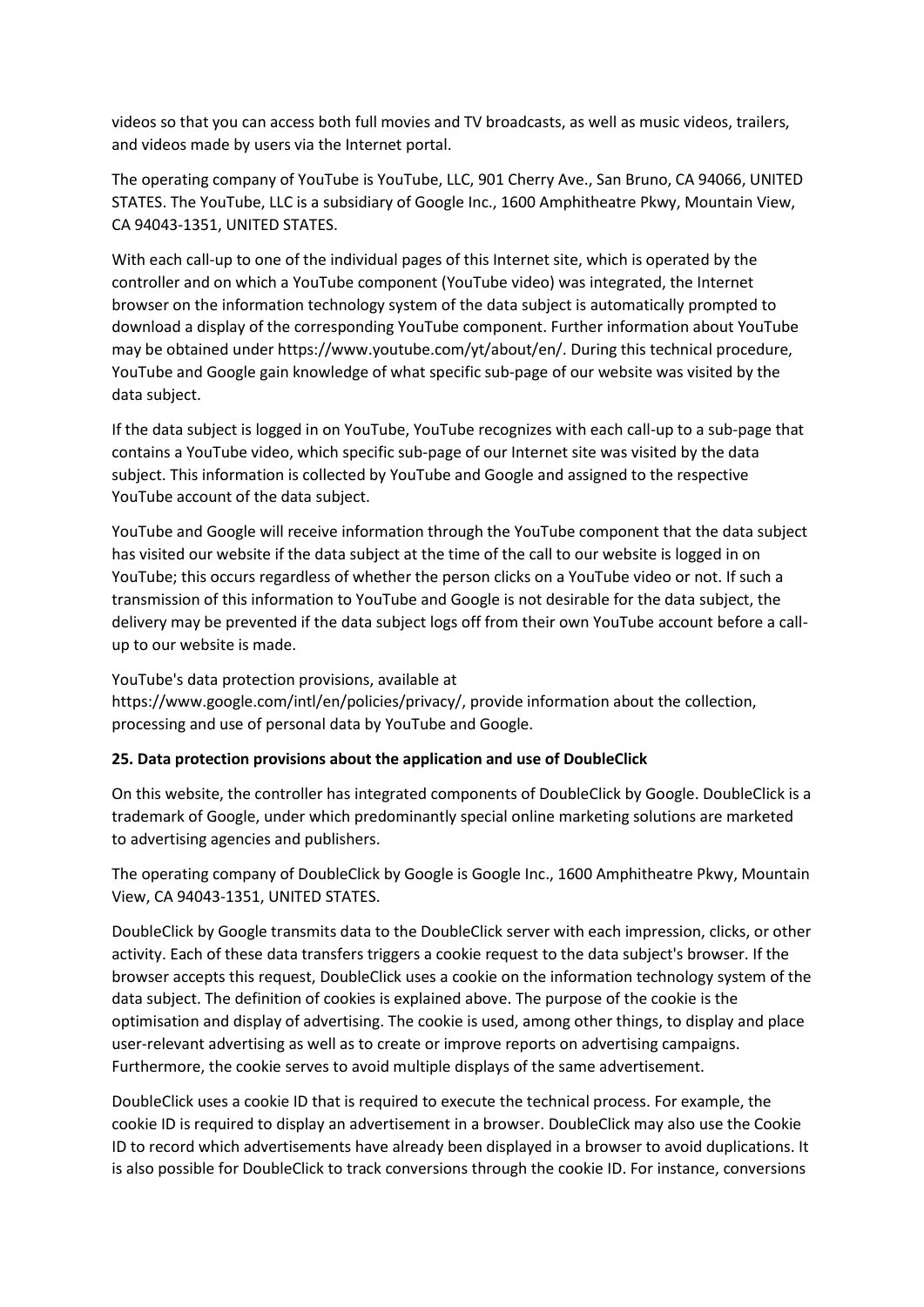videos so that you can access both full movies and TV broadcasts, as well as music videos, trailers, and videos made by users via the Internet portal.

The operating company of YouTube is YouTube, LLC, 901 Cherry Ave., San Bruno, CA 94066, UNITED STATES. The YouTube, LLC is a subsidiary of Google Inc., 1600 Amphitheatre Pkwy, Mountain View, CA 94043-1351, UNITED STATES.

With each call-up to one of the individual pages of this Internet site, which is operated by the controller and on which a YouTube component (YouTube video) was integrated, the Internet browser on the information technology system of the data subject is automatically prompted to download a display of the corresponding YouTube component. Further information about YouTube may be obtained under https://www.youtube.com/yt/about/en/. During this technical procedure, YouTube and Google gain knowledge of what specific sub-page of our website was visited by the data subject.

If the data subject is logged in on YouTube, YouTube recognizes with each call-up to a sub-page that contains a YouTube video, which specific sub-page of our Internet site was visited by the data subject. This information is collected by YouTube and Google and assigned to the respective YouTube account of the data subject.

YouTube and Google will receive information through the YouTube component that the data subject has visited our website if the data subject at the time of the call to our website is logged in on YouTube; this occurs regardless of whether the person clicks on a YouTube video or not. If such a transmission of this information to YouTube and Google is not desirable for the data subject, the delivery may be prevented if the data subject logs off from their own YouTube account before a callup to our website is made.

# YouTube's data protection provisions, available at

https://www.google.com/intl/en/policies/privacy/, provide information about the collection, processing and use of personal data by YouTube and Google.

# **25. Data protection provisions about the application and use of DoubleClick**

On this website, the controller has integrated components of DoubleClick by Google. DoubleClick is a trademark of Google, under which predominantly special online marketing solutions are marketed to advertising agencies and publishers.

The operating company of DoubleClick by Google is Google Inc., 1600 Amphitheatre Pkwy, Mountain View, CA 94043-1351, UNITED STATES.

DoubleClick by Google transmits data to the DoubleClick server with each impression, clicks, or other activity. Each of these data transfers triggers a cookie request to the data subject's browser. If the browser accepts this request, DoubleClick uses a cookie on the information technology system of the data subject. The definition of cookies is explained above. The purpose of the cookie is the optimisation and display of advertising. The cookie is used, among other things, to display and place user-relevant advertising as well as to create or improve reports on advertising campaigns. Furthermore, the cookie serves to avoid multiple displays of the same advertisement.

DoubleClick uses a cookie ID that is required to execute the technical process. For example, the cookie ID is required to display an advertisement in a browser. DoubleClick may also use the Cookie ID to record which advertisements have already been displayed in a browser to avoid duplications. It is also possible for DoubleClick to track conversions through the cookie ID. For instance, conversions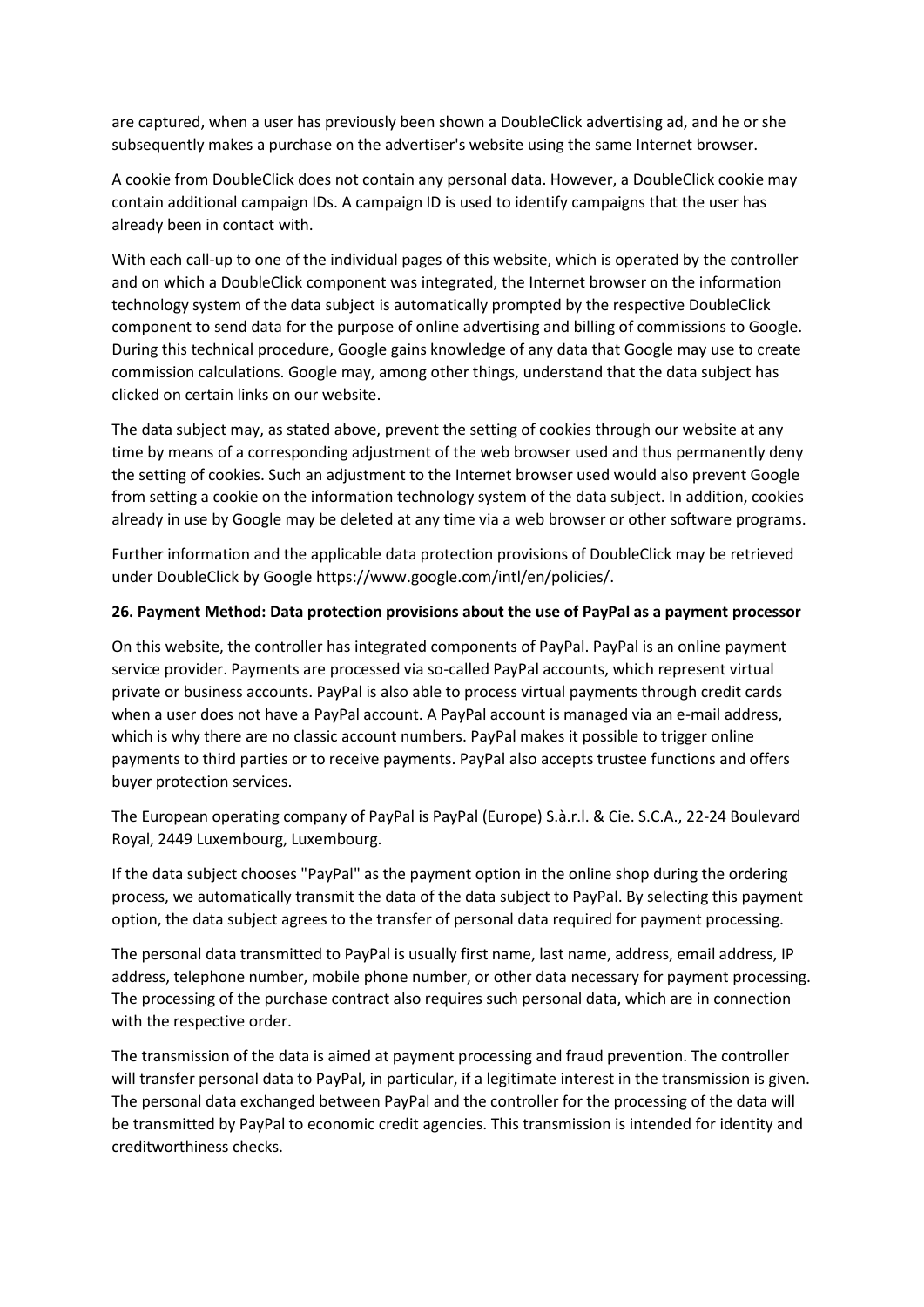are captured, when a user has previously been shown a DoubleClick advertising ad, and he or she subsequently makes a purchase on the advertiser's website using the same Internet browser.

A cookie from DoubleClick does not contain any personal data. However, a DoubleClick cookie may contain additional campaign IDs. A campaign ID is used to identify campaigns that the user has already been in contact with.

With each call-up to one of the individual pages of this website, which is operated by the controller and on which a DoubleClick component was integrated, the Internet browser on the information technology system of the data subject is automatically prompted by the respective DoubleClick component to send data for the purpose of online advertising and billing of commissions to Google. During this technical procedure, Google gains knowledge of any data that Google may use to create commission calculations. Google may, among other things, understand that the data subject has clicked on certain links on our website.

The data subject may, as stated above, prevent the setting of cookies through our website at any time by means of a corresponding adjustment of the web browser used and thus permanently deny the setting of cookies. Such an adjustment to the Internet browser used would also prevent Google from setting a cookie on the information technology system of the data subject. In addition, cookies already in use by Google may be deleted at any time via a web browser or other software programs.

Further information and the applicable data protection provisions of DoubleClick may be retrieved under DoubleClick by Google https://www.google.com/intl/en/policies/.

#### **26. Payment Method: Data protection provisions about the use of PayPal as a payment processor**

On this website, the controller has integrated components of PayPal. PayPal is an online payment service provider. Payments are processed via so-called PayPal accounts, which represent virtual private or business accounts. PayPal is also able to process virtual payments through credit cards when a user does not have a PayPal account. A PayPal account is managed via an e-mail address, which is why there are no classic account numbers. PayPal makes it possible to trigger online payments to third parties or to receive payments. PayPal also accepts trustee functions and offers buyer protection services.

The European operating company of PayPal is PayPal (Europe) S.à.r.l. & Cie. S.C.A., 22-24 Boulevard Royal, 2449 Luxembourg, Luxembourg.

If the data subject chooses "PayPal" as the payment option in the online shop during the ordering process, we automatically transmit the data of the data subject to PayPal. By selecting this payment option, the data subject agrees to the transfer of personal data required for payment processing.

The personal data transmitted to PayPal is usually first name, last name, address, email address, IP address, telephone number, mobile phone number, or other data necessary for payment processing. The processing of the purchase contract also requires such personal data, which are in connection with the respective order.

The transmission of the data is aimed at payment processing and fraud prevention. The controller will transfer personal data to PayPal, in particular, if a legitimate interest in the transmission is given. The personal data exchanged between PayPal and the controller for the processing of the data will be transmitted by PayPal to economic credit agencies. This transmission is intended for identity and creditworthiness checks.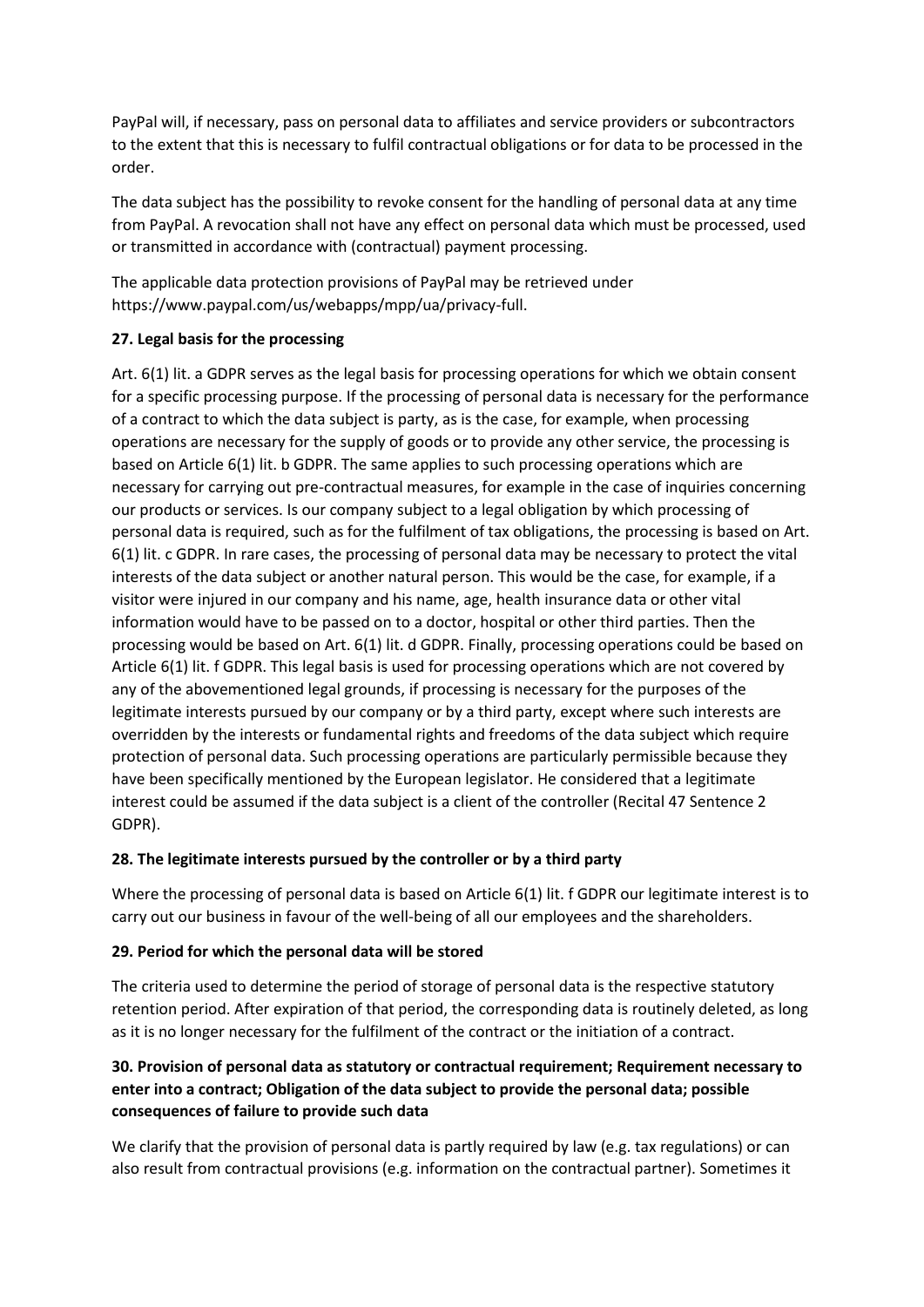PayPal will, if necessary, pass on personal data to affiliates and service providers or subcontractors to the extent that this is necessary to fulfil contractual obligations or for data to be processed in the order.

The data subject has the possibility to revoke consent for the handling of personal data at any time from PayPal. A revocation shall not have any effect on personal data which must be processed, used or transmitted in accordance with (contractual) payment processing.

The applicable data protection provisions of PayPal may be retrieved under https://www.paypal.com/us/webapps/mpp/ua/privacy-full.

# **27. Legal basis for the processing**

Art. 6(1) lit. a GDPR serves as the legal basis for processing operations for which we obtain consent for a specific processing purpose. If the processing of personal data is necessary for the performance of a contract to which the data subject is party, as is the case, for example, when processing operations are necessary for the supply of goods or to provide any other service, the processing is based on Article 6(1) lit. b GDPR. The same applies to such processing operations which are necessary for carrying out pre-contractual measures, for example in the case of inquiries concerning our products or services. Is our company subject to a legal obligation by which processing of personal data is required, such as for the fulfilment of tax obligations, the processing is based on Art. 6(1) lit. c GDPR. In rare cases, the processing of personal data may be necessary to protect the vital interests of the data subject or another natural person. This would be the case, for example, if a visitor were injured in our company and his name, age, health insurance data or other vital information would have to be passed on to a doctor, hospital or other third parties. Then the processing would be based on Art. 6(1) lit. d GDPR. Finally, processing operations could be based on Article 6(1) lit. f GDPR. This legal basis is used for processing operations which are not covered by any of the abovementioned legal grounds, if processing is necessary for the purposes of the legitimate interests pursued by our company or by a third party, except where such interests are overridden by the interests or fundamental rights and freedoms of the data subject which require protection of personal data. Such processing operations are particularly permissible because they have been specifically mentioned by the European legislator. He considered that a legitimate interest could be assumed if the data subject is a client of the controller (Recital 47 Sentence 2 GDPR).

# **28. The legitimate interests pursued by the controller or by a third party**

Where the processing of personal data is based on Article 6(1) lit. f GDPR our legitimate interest is to carry out our business in favour of the well-being of all our employees and the shareholders.

# **29. Period for which the personal data will be stored**

The criteria used to determine the period of storage of personal data is the respective statutory retention period. After expiration of that period, the corresponding data is routinely deleted, as long as it is no longer necessary for the fulfilment of the contract or the initiation of a contract.

# **30. Provision of personal data as statutory or contractual requirement; Requirement necessary to enter into a contract; Obligation of the data subject to provide the personal data; possible consequences of failure to provide such data**

We clarify that the provision of personal data is partly required by law (e.g. tax regulations) or can also result from contractual provisions (e.g. information on the contractual partner). Sometimes it